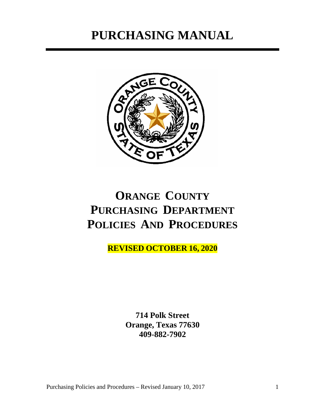# **PURCHASING MANUAL**



# **ORANGE COUNTY PURCHASING DEPARTMENT POLICIES AND PROCEDURES**

**REVISED OCTOBER 16, 2020**

**714 Polk Street Orange, Texas 77630 409-882-7902**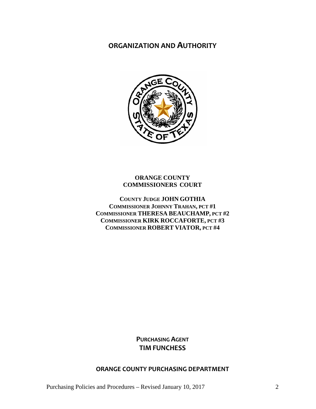### **ORGANIZATION AND AUTHORITY**



#### **ORANGE COUNTY COMMISSIONERS COURT**

**COUNTY JUDGE JOHN GOTHIA COMMISSIONER JOHNNY TRAHAN, PCT #1 COMMISSIONER THERESA BEAUCHAMP, PCT #2 COMMISSIONER KIRK ROCCAFORTE, PCT #3 COMMISSIONER ROBERT VIATOR, PCT #4**

> **PURCHASING AGENT TIM FUNCHESS**

#### **ORANGE COUNTY PURCHASING DEPARTMENT**

Purchasing Policies and Procedures – Revised January 10, 2017 2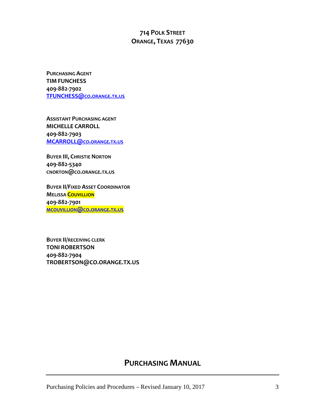### **714 POLK STREET ORANGE, TEXAS 77630**

**PURCHASING AGENT TIM FUNCHESS 409-882-7902 [TFUNCHESS@CO.ORANGE.TX.US](mailto:TFUNCHESS@co.orange.tx.us)**

**ASSISTANT PURCHASING AGENT MICHELLE CARROLL 409-882-7903 [MCARROLL@CO.ORANGE.TX.US](mailto:MCARROLL@co.orange.tx.us)**

**BUYER III, CHRISTIE NORTON 409-882-5340 CNORTON@CO.ORANGE.TX.US**

**BUYER II/FIXED ASSET COORDINATOR MELISSA COUVILLION 409-882-7901 [MCOUVILLION@CO.ORANGE.TX.US](mailto:mcouvillion@co.orange.tx.us)**

**BUYER II/RECEIVING CLERK TONI ROBERTSON 409-882-7904 TROBERTSON@CO.ORANGE.TX.US**

### **PURCHASING MANUAL**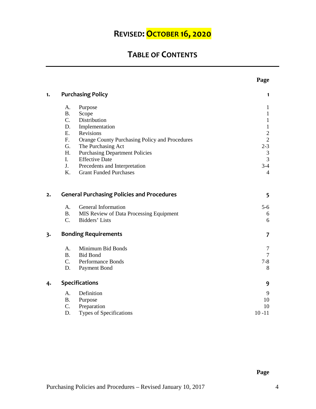## **REVISED: OCTOBER 16, 2020**

## **TABLE OF CONTENTS**

| 1. |                       | <b>Purchasing Policy</b>                          | 1              |
|----|-----------------------|---------------------------------------------------|----------------|
|    | А.                    | Purpose                                           | $\mathbf{1}$   |
|    | <b>B.</b>             | Scope                                             | $\mathbf{1}$   |
|    | $C_{\cdot}$           | Distribution                                      | $\mathbf{1}$   |
|    | D.                    | Implementation                                    | $\mathbf{1}$   |
|    | E.                    | Revisions                                         | $\sqrt{2}$     |
|    | F.                    | Orange County Purchasing Policy and Procedures    | $\overline{2}$ |
|    | G.                    | The Purchasing Act                                | $2-3$          |
|    | H.                    | <b>Purchasing Department Policies</b>             | $\sqrt{3}$     |
|    | I.                    | <b>Effective Date</b>                             | $\overline{3}$ |
|    | J.                    | Precedents and Interpretation                     | $3-4$          |
|    | K.                    | <b>Grant Funded Purchases</b>                     | $\overline{4}$ |
| 2. |                       | <b>General Purchasing Policies and Procedures</b> | 5              |
|    | A.                    | General Information                               | $5 - 6$        |
|    | <b>B.</b>             | MIS Review of Data Processing Equipment           | 6              |
|    | $C_{\cdot}$           | Bidders' Lists                                    | 6              |
| 3. |                       | <b>Bonding Requirements</b>                       | $\overline{7}$ |
|    | A.                    | Minimum Bid Bonds                                 | 7              |
|    | <b>B.</b>             | <b>Bid Bond</b>                                   | $\tau$         |
|    | $C_{\cdot}$           | Performance Bonds                                 | $7 - 8$        |
|    | D.                    | Payment Bond                                      | 8              |
| 4. | <b>Specifications</b> |                                                   | 9              |
|    | A.                    | Definition                                        | 9              |
|    | <b>B.</b>             | Purpose                                           | 10             |
|    | C.                    | Preparation                                       | 10             |
|    | D.                    | Types of Specifications                           | $10 - 11$      |

**Page**

**Page**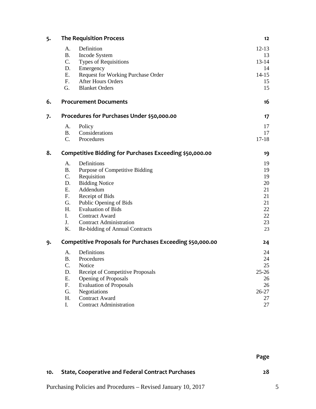| 5. |                                                         | <b>The Requisition Process</b>                            | 12        |
|----|---------------------------------------------------------|-----------------------------------------------------------|-----------|
|    | A.                                                      | Definition                                                | $12 - 13$ |
|    | <b>B.</b>                                               | Incode System                                             | 13        |
|    | $C_{\cdot}$                                             | <b>Types of Requisitions</b>                              | $13 - 14$ |
|    | D.                                                      | Emergency                                                 | 14        |
|    | E.                                                      | Request for Working Purchase Order                        | $14 - 15$ |
|    | F <sub>r</sub>                                          | <b>After Hours Orders</b>                                 | 15        |
|    | G.                                                      | <b>Blanket Orders</b>                                     | 15        |
| 6. |                                                         | <b>Procurement Documents</b>                              | 16        |
| 7. | Procedures for Purchases Under \$50,000.00              |                                                           | 17        |
|    | A.                                                      | Policy                                                    | 17        |
|    | <b>B.</b>                                               | Considerations                                            | 17        |
|    | $C_{\cdot}$                                             | Procedures                                                | $17 - 18$ |
| 8. | Competitive Bidding for Purchases Exceeding \$50,000.00 |                                                           | 19        |
|    | A.                                                      | Definitions                                               | 19        |
|    | <b>B.</b>                                               | Purpose of Competitive Bidding                            | 19        |
|    | $C_{\cdot}$                                             | Requisition                                               | 19        |
|    | D.                                                      | <b>Bidding Notice</b>                                     | 20        |
|    | E.                                                      | Addendum                                                  | 21        |
|    | F.                                                      | Receipt of Bids                                           | 21        |
|    | G.                                                      | Public Opening of Bids                                    | 21        |
|    | H.                                                      | <b>Evaluation of Bids</b>                                 | 22        |
|    | I.                                                      | <b>Contract Award</b>                                     | 22        |
|    | J.                                                      | <b>Contract Administration</b>                            | 23        |
|    | K.                                                      | Re-bidding of Annual Contracts                            | 23        |
| 9. |                                                         | Competitive Proposals for Purchases Exceeding \$50,000.00 | 24        |
|    | A.                                                      | Definitions                                               | 24        |
|    | <b>B.</b>                                               | Procedures                                                | 24        |
|    | C.                                                      | Notice                                                    | 25        |
|    | D.                                                      | Receipt of Competitive Proposals                          | $25 - 26$ |
|    | E.                                                      | Opening of Proposals                                      | 26        |
|    | $F_{\cdot}$                                             | <b>Evaluation of Proposals</b>                            | 26        |
|    | G.                                                      | Negotiations                                              | 26-27     |
|    | H.                                                      | <b>Contract Award</b>                                     | 27        |
|    | I.                                                      | <b>Contract Administration</b>                            | 27        |

**Page**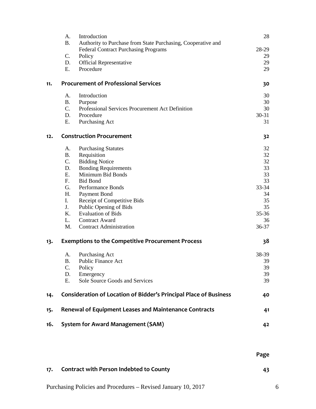|     | A.          | Introduction                                                             | 28        |
|-----|-------------|--------------------------------------------------------------------------|-----------|
|     | <b>B.</b>   | Authority to Purchase from State Purchasing, Cooperative and             |           |
|     |             | <b>Federal Contract Purchasing Programs</b>                              | 28-29     |
|     | C.          | Policy                                                                   | 29        |
|     | D.          | <b>Official Representative</b>                                           | 29        |
|     | E.          | Procedure                                                                | 29        |
| 11. |             | <b>Procurement of Professional Services</b>                              | 30        |
|     | A.          | Introduction                                                             | 30        |
|     | <b>B.</b>   | Purpose                                                                  | 30        |
|     | $C_{\cdot}$ | Professional Services Procurement Act Definition                         | 30        |
|     | D.          | Procedure                                                                | $30 - 31$ |
|     | Ε.          | Purchasing Act                                                           | 31        |
| 12. |             | <b>Construction Procurement</b>                                          | 32        |
|     | А.          | <b>Purchasing Statutes</b>                                               | 32        |
|     | <b>B.</b>   | Requisition                                                              | 32        |
|     | C.          | <b>Bidding Notice</b>                                                    | 32        |
|     | D.          | <b>Bonding Requirements</b>                                              | 33        |
|     | E.          | Minimum Bid Bonds                                                        | 33        |
|     | $F_{\cdot}$ | <b>Bid Bond</b>                                                          | 33        |
|     | G.          | Performance Bonds                                                        | 33-34     |
|     | H.          | Payment Bond                                                             | 34        |
|     | I.          | Receipt of Competitive Bids                                              | 35        |
|     | J.          | Public Opening of Bids                                                   | 35        |
|     | K.          | <b>Evaluation of Bids</b>                                                | $35 - 36$ |
|     | L.          | <b>Contract Award</b>                                                    | 36        |
|     | M.          | <b>Contract Administration</b>                                           | $36 - 37$ |
| 13. |             | <b>Exemptions to the Competitive Procurement Process</b>                 | 38        |
|     | А.          | Purchasing Act                                                           | 38-39     |
|     | <b>B.</b>   | <b>Public Finance Act</b>                                                | 39        |
|     | C.          | Policy                                                                   | 39        |
|     | D.          | Emergency                                                                | 39        |
|     | Ε.          | Sole Source Goods and Services                                           | 39        |
| 14. |             | <b>Consideration of Location of Bidder's Principal Place of Business</b> | 40        |
| 15. |             | <b>Renewal of Equipment Leases and Maintenance Contracts</b>             | 41        |
| 16. |             | <b>System for Award Management (SAM)</b>                                 | 42        |
|     |             |                                                                          |           |

|  | <b>Contract with Person Indebted to County</b> |  |
|--|------------------------------------------------|--|
|--|------------------------------------------------|--|

**Page**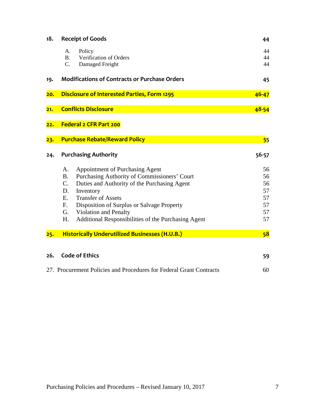| 18. | <b>Receipt of Goods</b>                                             | 44        |
|-----|---------------------------------------------------------------------|-----------|
|     | Policy<br>A.                                                        | 44        |
|     | <b>B.</b><br>Verification of Orders                                 | 44        |
|     | C.<br>Damaged Freight                                               | 44        |
| 19. | <b>Modifications of Contracts or Purchase Orders</b>                | 45        |
| 20. | <b>Disclosure of Interested Parties, Form 1295</b>                  | $46 - 47$ |
| 21. | <b>Conflicts Disclosure</b>                                         | 48-54     |
| 22. | Federal 2 CFR Part 200                                              |           |
| 23. | <b>Purchase Rebate/Reward Policy</b>                                | 55        |
| 24. | <b>Purchasing Authority</b>                                         | 56-57     |
|     | Appointment of Purchasing Agent<br>A.                               | 56        |
|     | Purchasing Authority of Commissioners' Court<br><b>B.</b>           | 56        |
|     | C.<br>Duties and Authority of the Purchasing Agent                  | 56        |
|     | Inventory<br>D.                                                     | 57        |
|     | <b>Transfer of Assets</b><br>Ε.                                     | 57        |
|     | F.<br>Disposition of Surplus or Salvage Property                    | 57        |
|     | Violation and Penalty<br>G.                                         | 57        |
|     | H.<br>Additional Responsibilities of the Purchasing Agent           | 57        |
| 25. | <b>Historically Underutilized Businesses (H.U.B.)</b>               | 58        |
|     |                                                                     |           |
| 26. | <b>Code of Ethics</b>                                               | 59        |
|     | 27. Procurement Policies and Procedures for Federal Grant Contracts | 60        |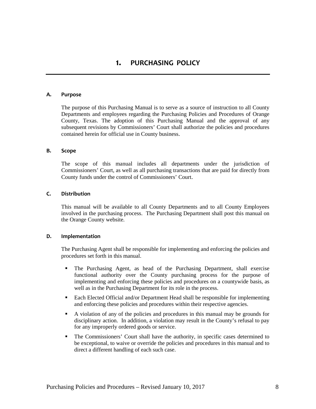### **1. PURCHASING POLICY**

#### **A. Purpose**

The purpose of this Purchasing Manual is to serve as a source of instruction to all County Departments and employees regarding the Purchasing Policies and Procedures of Orange County, Texas. The adoption of this Purchasing Manual and the approval of any subsequent revisions by Commissioners' Court shall authorize the policies and procedures contained herein for official use in County business.

#### **B. Scope**

The scope of this manual includes all departments under the jurisdiction of Commissioners' Court, as well as all purchasing transactions that are paid for directly from County funds under the control of Commissioners' Court.

#### **C. Distribution**

This manual will be available to all County Departments and to all County Employees involved in the purchasing process. The Purchasing Department shall post this manual on the Orange County website.

#### **D. Implementation**

The Purchasing Agent shall be responsible for implementing and enforcing the policies and procedures set forth in this manual.

- The Purchasing Agent, as head of the Purchasing Department, shall exercise functional authority over the County purchasing process for the purpose of implementing and enforcing these policies and procedures on a countywide basis, as well as in the Purchasing Department for its role in the process.
- Each Elected Official and/or Department Head shall be responsible for implementing and enforcing these policies and procedures within their respective agencies.
- A violation of any of the policies and procedures in this manual may be grounds for disciplinary action. In addition, a violation may result in the County's refusal to pay for any improperly ordered goods or service.
- The Commissioners' Court shall have the authority, in specific cases determined to be exceptional, to waive or override the policies and procedures in this manual and to direct a different handling of each such case.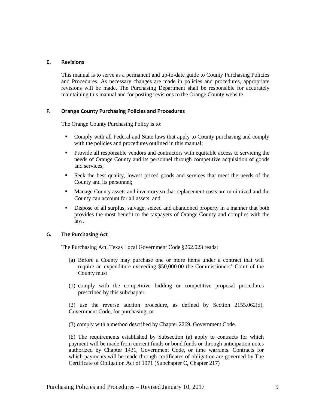#### **E. Revisions**

This manual is to serve as a permanent and up-to-date guide to County Purchasing Policies and Procedures. As necessary changes are made in policies and procedures, appropriate revisions will be made. The Purchasing Department shall be responsible for accurately maintaining this manual and for posting revisions to the Orange County website.

#### **F. Orange County Purchasing Policies and Procedures**

The Orange County Purchasing Policy is to:

- Comply with all Federal and State laws that apply to County purchasing and comply with the policies and procedures outlined in this manual;
- **Provide all responsible vendors and contractors with equitable access to servicing the** needs of Orange County and its personnel through competitive acquisition of goods and services;
- Seek the best quality, lowest priced goods and services that meet the needs of the County and its personnel;
- Manage County assets and inventory so that replacement costs are minimized and the County can account for all assets; and
- Dispose of all surplus, salvage, seized and abandoned property in a manner that both provides the most benefit to the taxpayers of Orange County and complies with the law.

#### **G. The Purchasing Act**

The Purchasing Act, Texas Local Government Code §262.023 reads:

- (a) Before a County may purchase one or more items under a contract that will require an expenditure exceeding \$50,000.00 the Commissioners' Court of the County must
- (1) comply with the competitive bidding or competitive proposal procedures prescribed by this subchapter.

(2) use the reverse auction procedure, as defined by Section 2155.062(d), Government Code, for purchasing; or

(3) comply with a method described by Chapter 2269, Government Code.

(b) The requirements established by Subsection (a) apply to contracts for which payment will be made from current funds or bond funds or through anticipation notes authorized by Chapter 1431, Government Code, or time warrants. Contracts for which payments will be made through certificates of obligation are governed by The Certificate of Obligation Act of 1971 (Subchapter C, Chapter 217)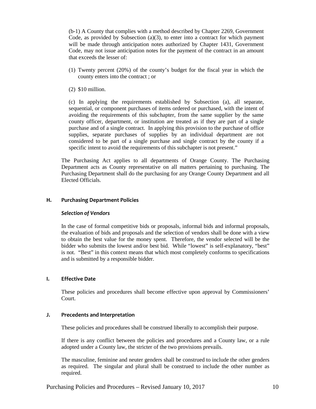(b-1) A County that complies with a method described by Chapter 2269, Government Code, as provided by Subsection (a)(3), to enter into a contract for which payment will be made through anticipation notes authorized by Chapter 1431, Government Code, may not issue anticipation notes for the payment of the contract in an amount that exceeds the lesser of:

- (1) Twenty percent (20%) of the county's budget for the fiscal year in which the county enters into the contract ; or
- (2) \$10 million.

(c) In applying the requirements established by Subsection (a), all separate, sequential, or component purchases of items ordered or purchased, with the intent of avoiding the requirements of this subchapter, from the same supplier by the same county officer, department, or institution are treated as if they are part of a single purchase and of a single contract. In applying this provision to the purchase of office supplies, separate purchases of supplies by an individual department are not considered to be part of a single purchase and single contract by the county if a specific intent to avoid the requirements of this subchapter is not present."

The Purchasing Act applies to all departments of Orange County. The Purchasing Department acts as County representative on all matters pertaining to purchasing. The Purchasing Department shall do the purchasing for any Orange County Department and all Elected Officials.

#### **H. Purchasing Department Policies**

#### *Selection of Vendors*

In the case of formal competitive bids or proposals, informal bids and informal proposals, the evaluation of bids and proposals and the selection of vendors shall be done with a view to obtain the best value for the money spent. Therefore, the vendor selected will be the bidder who submits the lowest and/or best bid. While "lowest" is self-explanatory, "best" is not. "Best" in this context means that which most completely conforms to specifications and is submitted by a responsible bidder.

#### **I. Effective Date**

These policies and procedures shall become effective upon approval by Commissioners' Court.

#### **J. Precedents and Interpretation**

These policies and procedures shall be construed liberally to accomplish their purpose.

If there is any conflict between the policies and procedures and a County law, or a rule adopted under a County law, the stricter of the two provisions prevails.

The masculine, feminine and neuter genders shall be construed to include the other genders as required. The singular and plural shall be construed to include the other number as required.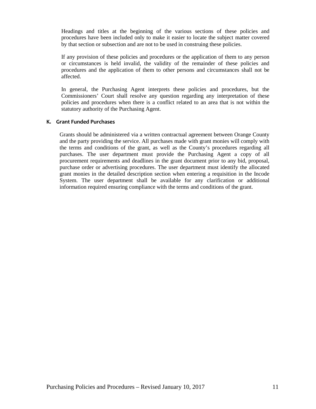Headings and titles at the beginning of the various sections of these policies and procedures have been included only to make it easier to locate the subject matter covered by that section or subsection and are not to be used in construing these policies.

If any provision of these policies and procedures or the application of them to any person or circumstances is held invalid, the validity of the remainder of these policies and procedures and the application of them to other persons and circumstances shall not be affected.

In general, the Purchasing Agent interprets these policies and procedures, but the Commissioners' Court shall resolve any question regarding any interpretation of these policies and procedures when there is a conflict related to an area that is not within the statutory authority of the Purchasing Agent.

#### **K. Grant Funded Purchases**

Grants should be administered via a written contractual agreement between Orange County and the party providing the service. All purchases made with grant monies will comply with the terms and conditions of the grant, as well as the County's procedures regarding all purchases. The user department must provide the Purchasing Agent a copy of all procurement requirements and deadlines in the grant document prior to any bid, proposal, purchase order or advertising procedures. The user department must identify the allocated grant monies in the detailed description section when entering a requisition in the Incode System. The user department shall be available for any clarification or additional information required ensuring compliance with the terms and conditions of the grant.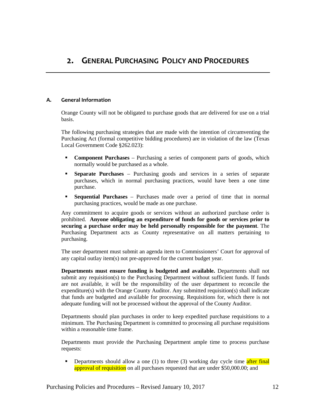#### **A. General Information**

Orange County will not be obligated to purchase goods that are delivered for use on a trial basis.

The following purchasing strategies that are made with the intention of circumventing the Purchasing Act (formal competitive bidding procedures) are in violation of the law (Texas Local Government Code §262.023):

- **Component Purchases** Purchasing a series of component parts of goods, which normally would be purchased as a whole.
- **Separate Purchases** Purchasing goods and services in a series of separate purchases, which in normal purchasing practices, would have been a one time purchase.
- **Sequential Purchases** Purchases made over a period of time that in normal purchasing practices, would be made as one purchase.

Any commitment to acquire goods or services without an authorized purchase order is prohibited. **Anyone obligating an expenditure of funds for goods or services prior to securing a purchase order may be held personally responsible for the payment**. The Purchasing Department acts as County representative on all matters pertaining to purchasing.

The user department must submit an agenda item to Commissioners' Court for approval of any capital outlay item(s) not pre-approved for the current budget year.

**Departments must ensure funding is budgeted and available.** Departments shall not submit any requisition(s) to the Purchasing Department without sufficient funds. If funds are not available, it will be the responsibility of the user department to reconcile the expenditure(s) with the Orange County Auditor. Any submitted requisition(s) shall indicate that funds are budgeted and available for processing. Requisitions for, which there is not adequate funding will not be processed without the approval of the County Auditor.

Departments should plan purchases in order to keep expedited purchase requisitions to a minimum. The Purchasing Department is committed to processing all purchase requisitions within a reasonable time frame.

Departments must provide the Purchasing Department ample time to process purchase requests:

Departments should allow a one (1) to three (3) working day cycle time after final approval of requisition on all purchases requested that are under \$50,000.00; and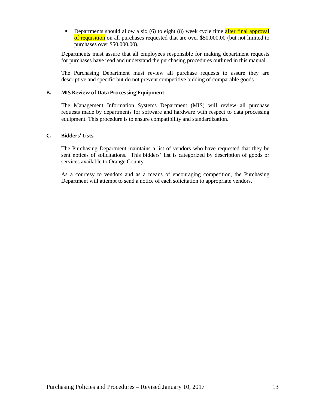Departments should allow a six  $(6)$  to eight  $(8)$  week cycle time after final approval of requisition on all purchases requested that are over \$50,000.00 (but not limited to purchases over \$50,000.00).

Departments must assure that all employees responsible for making department requests for purchases have read and understand the purchasing procedures outlined in this manual.

The Purchasing Department must review all purchase requests to assure they are descriptive and specific but do not prevent competitive bidding of comparable goods.

#### **B. MIS Review of Data Processing Equipment**

The Management Information Systems Department (MIS) will review all purchase requests made by departments for software and hardware with respect to data processing equipment. This procedure is to ensure compatibility and standardization.

#### **C. Bidders' Lists**

The Purchasing Department maintains a list of vendors who have requested that they be sent notices of solicitations. This bidders' list is categorized by description of goods or services available to Orange County.

As a courtesy to vendors and as a means of encouraging competition, the Purchasing Department will attempt to send a notice of each solicitation to appropriate vendors.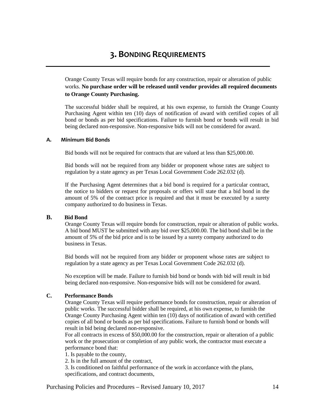Orange County Texas will require bonds for any construction, repair or alteration of public works. **No purchase order will be released until vendor provides all required documents to Orange County Purchasing.**

The successful bidder shall be required, at his own expense, to furnish the Orange County Purchasing Agent within ten (10) days of notification of award with certified copies of all bond or bonds as per bid specifications. Failure to furnish bond or bonds will result in bid being declared non-responsive. Non-responsive bids will not be considered for award.

#### **A.****Minimum Bid Bonds**

Bid bonds will not be required for contracts that are valued at less than \$25,000.00.

Bid bonds will not be required from any bidder or proponent whose rates are subject to regulation by a state agency as per Texas Local Government Code 262.032 (d).

If the Purchasing Agent determines that a bid bond is required for a particular contract, the notice to bidders or request for proposals or offers will state that a bid bond in the amount of 5% of the contract price is required and that it must be executed by a surety company authorized to do business in Texas.

#### **B. Bid Bond**

Orange County Texas will require bonds for construction, repair or alteration of public works. A bid bond MUST be submitted with any bid over \$25,000.00. The bid bond shall be in the amount of 5% of the bid price and is to be issued by a surety company authorized to do business in Texas.

Bid bonds will not be required from any bidder or proponent whose rates are subject to regulation by a state agency as per Texas Local Government Code 262.032 (d).

No exception will be made. Failure to furnish bid bond or bonds with bid will result in bid being declared non-responsive. Non-responsive bids will not be considered for award.

#### **C. Performance Bonds**

Orange County Texas will require performance bonds for construction, repair or alteration of public works. The successful bidder shall be required, at his own expense, to furnish the Orange County Purchasing Agent within ten (10) days of notification of award with certified copies of all bond or bonds as per bid specifications. Failure to furnish bond or bonds will result in bid being declared non-responsive.

For all contracts in excess of \$50,000.00 for the construction, repair or alteration of a public work or the prosecution or completion of any public work, the contractor must execute a performance bond that:

1. Is payable to the county,

2. Is in the full amount of the contract,

3. Is conditioned on faithful performance of the work in accordance with the plans, specifications, and contract documents,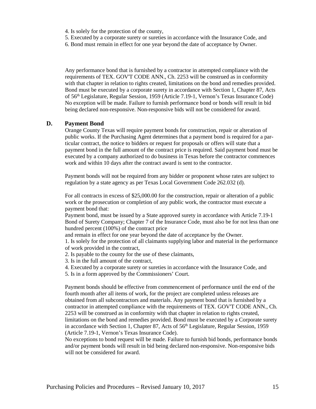- 4. Is solely for the protection of the county,
- 5. Executed by a corporate surety or sureties in accordance with the Insurance Code, and
- 6. Bond must remain in effect for one year beyond the date of acceptance by Owner.

Any performance bond that is furnished by a contractor in attempted compliance with the requirements of TEX. GOV'T CODE ANN., Ch. 2253 will be construed as in conformity with that chapter in relation to rights created, limitations on the bond and remedies provided. Bond must be executed by a corporate surety in accordance with Section 1, Chapter 87, Acts of 56th Legislature, Regular Session, 1959 (Article 7.19-1, Vernon's Texas Insurance Code) No exception will be made. Failure to furnish performance bond or bonds will result in bid being declared non-responsive. Non-responsive bids will not be considered for award.

#### **D. Payment Bond**

Orange County Texas will require payment bonds for construction, repair or alteration of public works. If the Purchasing Agent determines that a payment bond is required for a particular contract, the notice to bidders or request for proposals or offers will state that a payment bond in the full amount of the contract price is required. Said payment bond must be executed by a company authorized to do business in Texas before the contractor commences work and within 10 days after the contract award is sent to the contractor.

Payment bonds will not be required from any bidder or proponent whose rates are subject to regulation by a state agency as per Texas Local Government Code 262.032 (d).

For all contracts in excess of \$25,000.00 for the construction, repair or alteration of a public work or the prosecution or completion of any public work, the contractor must execute a payment bond that:

Payment bond, must be issued by a State approved surety in accordance with Article 7.19-1 Bond of Surety Company; Chapter 7 of the Insurance Code, must also be for not less than one hundred percent (100%) of the contract price

and remain in effect for one year beyond the date of acceptance by the Owner.

1. Is solely for the protection of all claimants supplying labor and material in the performance of work provided in the contract,

2. Is payable to the county for the use of these claimants,

3. Is in the full amount of the contract,

- 4. Executed by a corporate surety or sureties in accordance with the Insurance Code, and
- 5. Is in a form approved by the Commissioners' Court.

Payment bonds should be effective from commencement of performance until the end of the fourth month after all items of work, for the project are completed unless releases are obtained from all subcontractors and materials. Any payment bond that is furnished by a contractor in attempted compliance with the requirements of TEX. GOV'T CODE ANN., Ch. 2253 will be construed as in conformity with that chapter in relation to rights created, limitations on the bond and remedies provided. Bond must be executed by a Corporate surety in accordance with Section 1, Chapter 87, Acts of 56<sup>th</sup> Legislature, Regular Session, 1959 (Article 7.19-1, Vernon's Texas Insurance Code).

No exceptions to bond request will be made. Failure to furnish bid bonds, performance bonds and/or payment bonds will result in bid being declared non-responsive. Non-responsive bids will not be considered for award.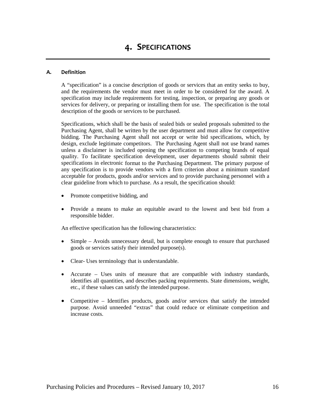#### **A. Definition**

A "specification" is a concise description of goods or services that an entity seeks to buy, and the requirements the vendor must meet in order to be considered for the award. A specification may include requirements for testing, inspection, or preparing any goods or services for delivery, or preparing or installing them for use. The specification is the total description of the goods or services to be purchased.

Specifications, which shall be the basis of sealed bids or sealed proposals submitted to the Purchasing Agent, shall be written by the user department and must allow for competitive bidding. The Purchasing Agent shall not accept or write bid specifications, which, by design, exclude legitimate competitors. The Purchasing Agent shall not use brand names unless a disclaimer is included opening the specification to competing brands of equal quality. To facilitate specification development, user departments should submit their specifications in electronic format to the Purchasing Department. The primary purpose of any specification is to provide vendors with a firm criterion about a minimum standard acceptable for products, goods and/or services and to provide purchasing personnel with a clear guideline from which to purchase. As a result, the specification should:

- Promote competitive bidding, and
- Provide a means to make an equitable award to the lowest and best bid from a responsible bidder.

An effective specification has the following characteristics:

- Simple Avoids unnecessary detail, but is complete enough to ensure that purchased goods or services satisfy their intended purpose(s).
- Clear- Uses terminology that is understandable.
- Accurate Uses units of measure that are compatible with industry standards, identifies all quantities, and describes packing requirements. State dimensions, weight, etc., if these values can satisfy the intended purpose.
- Competitive Identifies products, goods and/or services that satisfy the intended purpose. Avoid unneeded "extras" that could reduce or eliminate competition and increase costs.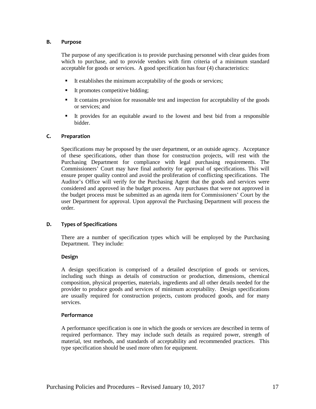#### **B. Purpose**

The purpose of any specification is to provide purchasing personnel with clear guides from which to purchase, and to provide vendors with firm criteria of a minimum standard acceptable for goods or services. A good specification has four (4) characteristics:

- $\blacksquare$  It establishes the minimum acceptability of the goods or services;
- It promotes competitive bidding;
- It contains provision for reasonable test and inspection for acceptability of the goods or services; and
- It provides for an equitable award to the lowest and best bid from a responsible bidder.

#### **C. Preparation**

Specifications may be proposed by the user department, or an outside agency. Acceptance of these specifications, other than those for construction projects, will rest with the Purchasing Department for compliance with legal purchasing requirements. The Commissioners' Court may have final authority for approval of specifications. This will ensure proper quality control and avoid the proliferation of conflicting specifications. The Auditor's Office will verify for the Purchasing Agent that the goods and services were considered and approved in the budget process. Any purchases that were not approved in the budget process must be submitted as an agenda item for Commissioners' Court by the user Department for approval. Upon approval the Purchasing Department will process the order.

#### **D. Types of Specifications**

There are a number of specification types which will be employed by the Purchasing Department. They include:

#### **Design**

A design specification is comprised of a detailed description of goods or services, including such things as details of construction or production, dimensions, chemical composition, physical properties, materials, ingredients and all other details needed for the provider to produce goods and services of minimum acceptability. Design specifications are usually required for construction projects, custom produced goods, and for many services.

#### **Performance**

A performance specification is one in which the goods or services are described in terms of required performance. They may include such details as required power, strength of material, test methods, and standards of acceptability and recommended practices. This type specification should be used more often for equipment.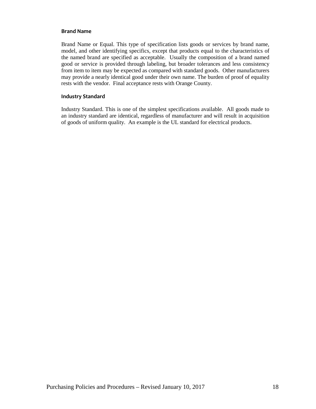#### **Brand Name**

Brand Name or Equal. This type of specification lists goods or services by brand name, model, and other identifying specifics, except that products equal to the characteristics of the named brand are specified as acceptable. Usually the composition of a brand named good or service is provided through labeling, but broader tolerances and less consistency from item to item may be expected as compared with standard goods. Other manufacturers may provide a nearly identical good under their own name. The burden of proof of equality rests with the vendor. Final acceptance rests with Orange County.

#### **Industry Standard**

Industry Standard. This is one of the simplest specifications available. All goods made to an industry standard are identical, regardless of manufacturer and will result in acquisition of goods of uniform quality. An example is the UL standard for electrical products.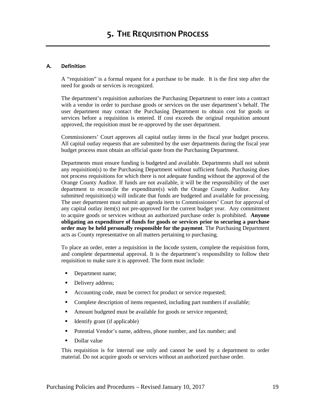#### **A. Definition**

A "requisition" is a formal request for a purchase to be made. It is the first step after the need for goods or services is recognized.

The department's requisition authorizes the Purchasing Department to enter into a contract with a vendor in order to purchase goods or services on the user department's behalf. The user department may contact the Purchasing Department to obtain cost for goods or services before a requisition is entered. If cost exceeds the original requisition amount approved, the requisition must be re-approved by the user department.

Commissioners' Court approves all capital outlay items in the fiscal year budget process. All capital outlay requests that are submitted by the user departments during the fiscal year budget process must obtain an official quote from the Purchasing Department.

Departments must ensure funding is budgeted and available. Departments shall not submit any requisition(s) to the Purchasing Department without sufficient funds. Purchasing does not process requisitions for which there is not adequate funding without the approval of the Orange County Auditor. If funds are not available, it will be the responsibility of the user department to reconcile the expenditure(s) with the Orange County Auditor. Any submitted requisition(s) will indicate that funds are budgeted and available for processing. The user department must submit an agenda item to Commissioners' Court for approval of any capital outlay item(s) not pre-approved for the current budget year. Any commitment to acquire goods or services without an authorized purchase order is prohibited. **Anyone obligating an expenditure of funds for goods or services prior to securing a purchase order may be held personally responsible for the payment**. The Purchasing Department acts as County representative on all matters pertaining to purchasing.

To place an order, enter a requisition in the Incode system, complete the requisition form, and complete departmental approval. It is the department's responsibility to follow their requisition to make sure it is approved. The form must include:

- Department name;
- Delivery address;
- Accounting code, must be correct for product or service requested;
- Complete description of items requested, including part numbers if available;
- Amount budgeted must be available for goods or service requested;
- $\blacksquare$  Identify grant (if applicable)
- **Potential Vendor's name, address, phone number, and fax number; and**
- Dollar value

This requisition is for internal use only and cannot be used by a department to order material. Do not acquire goods or services without an authorized purchase order.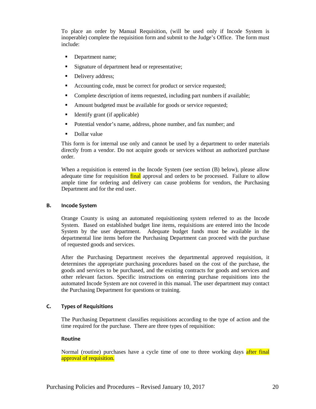To place an order by Manual Requisition, (will be used only if Incode System is inoperable) complete the requisition form and submit to the Judge's Office. The form must include:

- Department name;
- Signature of department head or representative;
- Delivery address;
- Accounting code, must be correct for product or service requested;
- Complete description of items requested, including part numbers if available;
- Amount budgeted must be available for goods or service requested;
- $\blacksquare$  Identify grant (if applicable)
- Potential vendor's name, address, phone number, and fax number; and
- Dollar value

This form is for internal use only and cannot be used by a department to order materials directly from a vendor. Do not acquire goods or services without an authorized purchase order.

When a requisition is entered in the Incode System (see section (B) below), please allow adequate time for requisition final approval and orders to be processed. Failure to allow ample time for ordering and delivery can cause problems for vendors, the Purchasing Department and for the end user.

#### **B. Incode System**

Orange County is using an automated requisitioning system referred to as the Incode System. Based on established budget line items, requisitions are entered into the Incode System by the user department. Adequate budget funds must be available in the departmental line items before the Purchasing Department can proceed with the purchase of requested goods and services.

After the Purchasing Department receives the departmental approved requisition, it determines the appropriate purchasing procedures based on the cost of the purchase, the goods and services to be purchased, and the existing contracts for goods and services and other relevant factors. Specific instructions on entering purchase requisitions into the automated Incode System are not covered in this manual. The user department may contact the Purchasing Department for questions or training.

#### **C. Types of Requisitions**

The Purchasing Department classifies requisitions according to the type of action and the time required for the purchase. There are three types of requisition:

#### **Routine**

Normal (routine) purchases have a cycle time of one to three working days after final approval of requisition.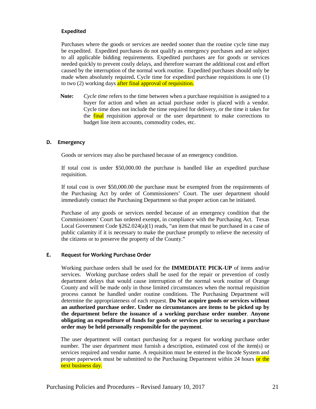#### **Expedited**

Purchases where the goods or services are needed sooner than the routine cycle time may be expedited. Expedited purchases do not qualify as emergency purchases and are subject to all applicable bidding requirements. Expedited purchases are for goods or services needed quickly to prevent costly delays, and therefore warrant the additional cost and effort caused by the interruption of the normal work routine. Expedited purchases should only be made when absolutely required**.** Cycle time for expedited purchase requisitions is one (1) to two (2) working days after final approval of requisition.

**Note:** *Cycle time* refers to the time between when a purchase requisition is assigned to a buyer for action and when an actual purchase order is placed with a vendor. Cycle time does not include the time required for delivery, or the time it takes for the final requisition approval or the user department to make corrections to budget line item accounts, commodity codes, etc.

#### **D. Emergency**

Goods or services may also be purchased because of an emergency condition.

If total cost is under \$50,000.00 the purchase is handled like an expedited purchase requisition.

If total cost is over \$50,000.00 the purchase must be exempted from the requirements of the Purchasing Act by order of Commissioners' Court. The user department should immediately contact the Purchasing Department so that proper action can be initiated.

Purchase of any goods or services needed because of an emergency condition that the Commissioners' Court has ordered exempt, in compliance with the Purchasing Act. Texas Local Government Code  $\S262.024(a)(1)$  reads, "an item that must be purchased in a case of public calamity if it is necessary to make the purchase promptly to relieve the necessity of the citizens or to preserve the property of the County."

#### **E. Request for Working Purchase Order**

Working purchase orders shall be used for the **IMMEDIATE PICK-UP** of items and/or services. Working purchase orders shall be used for the repair or prevention of costly department delays that would cause interruption of the normal work routine of Orange County and will be made only in those limited circumstances when the normal requisition process cannot be handled under routine conditions. The Purchasing Department will determine the appropriateness of each request. **Do Not acquire goods or services without an authorized purchase order. Under no circumstances are items to be picked up by the department before the issuance of a working purchase order number**. **Anyone obligating an expenditure of funds for goods or services prior to securing a purchase order may be held personally responsible for the payment**.

The user department will contact purchasing for a request for working purchase order number. The user department must furnish a description, estimated cost of the item(s) or services required and vendor name. A requisition must be entered in the Incode System and proper paperwork must be submitted to the Purchasing Department within 24 hours or the next business day.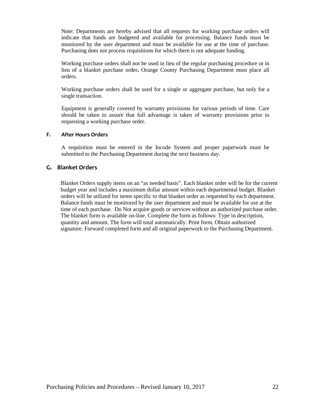Note: Departments are hereby advised that all requests for working purchase orders will indicate that funds are budgeted and available for processing. Balance funds must be monitored by the user department and must be available for use at the time of purchase. Purchasing does not process requisitions for which there is not adequate funding.

Working purchase orders shall not be used in lieu of the regular purchasing procedure or in lieu of a blanket purchase order**.** Orange County Purchasing Department must place all orders.

Working purchase orders shall be used for a single or aggregate purchase, but only for a single transaction.

Equipment is generally covered by warranty provisions for various periods of time. Care should be taken to assure that full advantage is taken of warranty provisions prior to requesting a working purchase order.

#### **F. After Hours Orders**

A requisition must be entered in the Incode System and proper paperwork must be submitted to the Purchasing Department during the next business day.

#### **G. Blanket Orders**

Blanket Orders supply items on an "as needed basis". Each blanket order will be for the current budget year and includes a maximum dollar amount within each departmental budget. Blanket orders will be utilized for items specific to that blanket order as requested by each department. Balance funds must be monitored by the user department and must be available for use at the time of each purchase. Do Not acquire goods or services without an authorized purchase order. The blanket form is available on-line. Complete the form as follows: Type in description, quantity and amount. The form will total automatically. Print form. Obtain authorized signature. Forward completed form and all original paperwork to the Purchasing Department.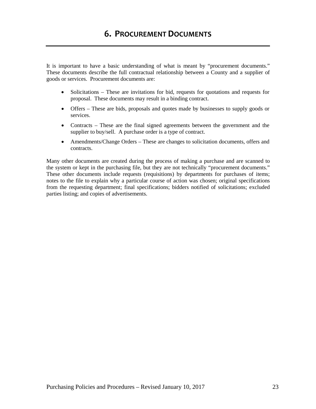It is important to have a basic understanding of what is meant by "procurement documents." These documents describe the full contractual relationship between a County and a supplier of goods or services. Procurement documents are:

- Solicitations These are invitations for bid, requests for quotations and requests for proposal. These documents may result in a binding contract.
- Offers These are bids, proposals and quotes made by businesses to supply goods or services.
- Contracts These are the final signed agreements between the government and the supplier to buy/sell. A purchase order is a type of contract.
- Amendments/Change Orders These are changes to solicitation documents, offers and contracts.

Many other documents are created during the process of making a purchase and are scanned to the system or kept in the purchasing file, but they are not technically "procurement documents." These other documents include requests (requisitions) by departments for purchases of items; notes to the file to explain why a particular course of action was chosen; original specifications from the requesting department; final specifications; bidders notified of solicitations; excluded parties listing; and copies of advertisements.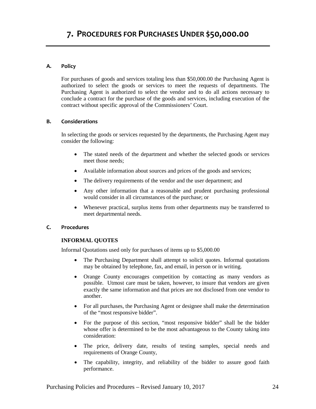#### **A. Policy**

For purchases of goods and services totaling less than \$50,000.00 the Purchasing Agent is authorized to select the goods or services to meet the requests of departments. The Purchasing Agent is authorized to select the vendor and to do all actions necessary to conclude a contract for the purchase of the goods and services, including execution of the contract without specific approval of the Commissioners' Court.

#### **B. Considerations**

In selecting the goods or services requested by the departments, the Purchasing Agent may consider the following:

- The stated needs of the department and whether the selected goods or services meet those needs;
- Available information about sources and prices of the goods and services;
- The delivery requirements of the vendor and the user department; and
- Any other information that a reasonable and prudent purchasing professional would consider in all circumstances of the purchase; or
- Whenever practical, surplus items from other departments may be transferred to meet departmental needs.

#### **C. Procedures**

#### **INFORMAL QUOTES**

Informal Quotations used only for purchases of items up to \$5,000.00

- The Purchasing Department shall attempt to solicit quotes. Informal quotations may be obtained by telephone, fax, and email, in person or in writing.
- Orange County encourages competition by contacting as many vendors as possible. Utmost care must be taken, however, to insure that vendors are given exactly the same information and that prices are not disclosed from one vendor to another.
- For all purchases, the Purchasing Agent or designee shall make the determination of the "most responsive bidder".
- For the purpose of this section, "most responsive bidder" shall be the bidder whose offer is determined to be the most advantageous to the County taking into consideration:
- The price, delivery date, results of testing samples, special needs and requirements of Orange County,
- The capability, integrity, and reliability of the bidder to assure good faith performance.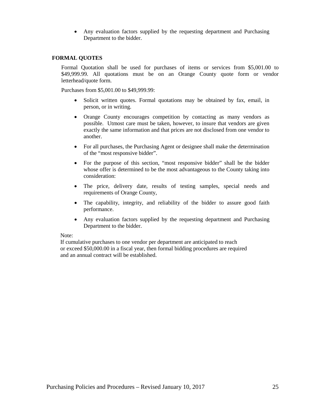• Any evaluation factors supplied by the requesting department and Purchasing Department to the bidder.

#### **FORMAL QUOTES**

Formal Quotation shall be used for purchases of items or services from \$5,001.00 to \$49,999.99. All quotations must be on an Orange County quote form or vendor letterhead/quote form.

Purchases from \$5,001.00 to \$49,999.99:

- Solicit written quotes. Formal quotations may be obtained by fax, email, in person, or in writing.
- Orange County encourages competition by contacting as many vendors as possible. Utmost care must be taken, however, to insure that vendors are given exactly the same information and that prices are not disclosed from one vendor to another.
- For all purchases, the Purchasing Agent or designee shall make the determination of the "most responsive bidder".
- For the purpose of this section, "most responsive bidder" shall be the bidder whose offer is determined to be the most advantageous to the County taking into consideration:
- The price, delivery date, results of testing samples, special needs and requirements of Orange County,
- The capability, integrity, and reliability of the bidder to assure good faith performance.
- Any evaluation factors supplied by the requesting department and Purchasing Department to the bidder.

#### Note:

If cumulative purchases to one vendor per department are anticipated to reach or exceed \$50,000.00 in a fiscal year, then formal bidding procedures are required and an annual contract will be established.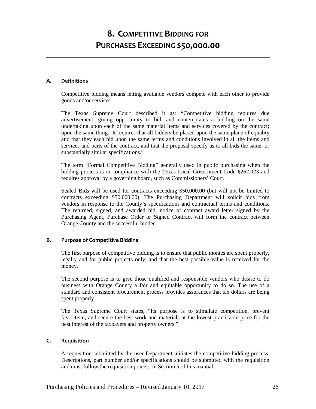## **8. COMPETITIVE BIDDING FOR PURCHASES EXCEEDING \$50,000.00**

#### **A. Definitions**

Competitive bidding means letting available vendors compete with each other to provide goods and/or services.

The Texas Supreme Court described it as: "Competitive bidding requires due advertisement, giving opportunity to bid, and contemplates a bidding on the same undertaking upon each of the same material items and services covered by the contract; upon the same thing. It requires that all bidders be placed upon the same plane of equality and that they each bid upon the same terms and conditions involved in all the items and services and parts of the contract, and that the proposal specify as to all bids the same, or substantially similar specifications."

The term "Formal Competitive Bidding" generally used in public purchasing when the bidding process is in compliance with the Texas Local Government Code §262.023 and requires approval by a governing board, such as Commissioners' Court.

Sealed Bids will be used for contracts exceeding \$50,000.00 (but will not be limited to contracts exceeding \$50,000.00). The Purchasing Department will solicit bids from vendors in response to the County's specifications and contractual terms and conditions. The returned, signed, and awarded bid, notice of contract award letter signed by the Purchasing Agent, Purchase Order or Signed Contract will form the contract between Orange County and the successful bidder.

#### **B. Purpose of Competitive Bidding**

The first purpose of competitive bidding is to ensure that public monies are spent properly, legally and for public projects only, and that the best possible value is received for the money.

The second purpose is to give those qualified and responsible vendors who desire to do business with Orange County a fair and equitable opportunity to do so. The use of a standard and consistent procurement process provides assurances that tax dollars are being spent properly.

The Texas Supreme Court states, "Its purpose is to stimulate competition, prevent favoritism, and secure the best work and materials at the lowest practicable price for the best interest of the taxpayers and property owners."

#### **C. Requisition**

A requisition submitted by the user Department initiates the competitive bidding process. Descriptions, part number and/or specifications should be submitted with the requisition and must follow the requisition process in Section 5 of this manual.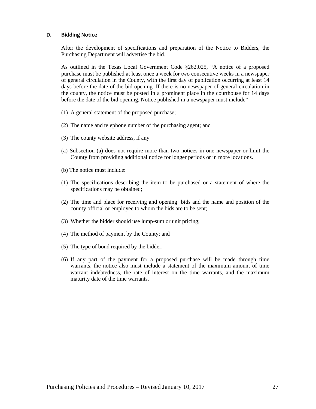#### **D. Bidding Notice**

After the development of specifications and preparation of the Notice to Bidders, the Purchasing Department will advertise the bid.

As outlined in the Texas Local Government Code §262.025, "A notice of a proposed purchase must be published at least once a week for two consecutive weeks in a newspaper of general circulation in the County, with the first day of publication occurring at least 14 days before the date of the bid opening. If there is no newspaper of general circulation in the county, the notice must be posted in a prominent place in the courthouse for 14 days before the date of the bid opening. Notice published in a newspaper must include"

- (1) A general statement of the proposed purchase;
- (2) The name and telephone number of the purchasing agent; and
- (3) The county website address, if any
- (a) Subsection (a) does not require more than two notices in one newspaper or limit the County from providing additional notice for longer periods or in more locations.
- (b) The notice must include:
- (1) The specifications describing the item to be purchased or a statement of where the specifications may be obtained;
- (2) The time and place for receiving and opening bids and the name and position of the county official or employee to whom the bids are to be sent;
- (3) Whether the bidder should use lump-sum or unit pricing;
- (4) The method of payment by the County; and
- (5) The type of bond required by the bidder.
- (6) If any part of the payment for a proposed purchase will be made through time warrants, the notice also must include a statement of the maximum amount of time warrant indebtedness, the rate of interest on the time warrants, and the maximum maturity date of the time warrants.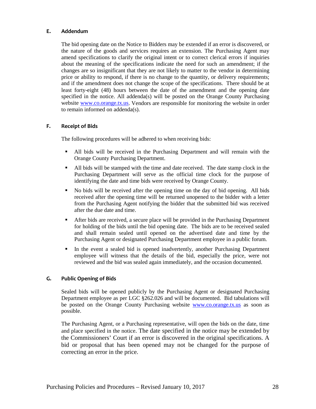#### **E. Addendum**

The bid opening date on the Notice to Bidders may be extended if an error is discovered, or the nature of the goods and services requires an extension. The Purchasing Agent may amend specifications to clarify the original intent or to correct clerical errors if inquiries about the meaning of the specifications indicate the need for such an amendment; if the changes are so insignificant that they are not likely to matter to the vendor in determining price or ability to respond, if there is no change to the quantity, or delivery requirements; and if the amendment does not change the scope of the specifications. There should be at least forty-eight (48) hours between the date of the amendment and the opening date specified in the notice. All addenda(s) will be posted on the Orange County Purchasing website [www.co.orange.tx.us.](http://www.co.orange.tx.us/) Vendors are responsible for monitoring the website in order to remain informed on addenda(s).

#### **F. Receipt of Bids**

The following procedures will be adhered to when receiving bids:

- All bids will be received in the Purchasing Department and will remain with the Orange County Purchasing Department.
- All bids will be stamped with the time and date received. The date stamp clock in the Purchasing Department will serve as the official time clock for the purpose of identifying the date and time bids were received by Orange County.
- No bids will be received after the opening time on the day of bid opening. All bids received after the opening time will be returned unopened to the bidder with a letter from the Purchasing Agent notifying the bidder that the submitted bid was received after the due date and time.
- After bids are received, a secure place will be provided in the Purchasing Department for holding of the bids until the bid opening date. The bids are to be received sealed and shall remain sealed until opened on the advertised date and time by the Purchasing Agent or designated Purchasing Department employee in a public forum.
- In the event a sealed bid is opened inadvertently, another Purchasing Department employee will witness that the details of the bid, especially the price, were not reviewed and the bid was sealed again immediately, and the occasion documented.

#### **G. Public Opening of Bids**

Sealed bids will be opened publicly by the Purchasing Agent or designated Purchasing Department employee as per LGC §262.026 and will be documented. Bid tabulations will be posted on the Orange County Purchasing website [www.co.orange.tx.us](http://www.co.orange.tx.us/) as soon as possible.

The Purchasing Agent, or a Purchasing representative, will open the bids on the date, time and place specified in the notice. The date specified in the notice may be extended by the Commissioners' Court if an error is discovered in the original specifications. A bid or proposal that has been opened may not be changed for the purpose of correcting an error in the price.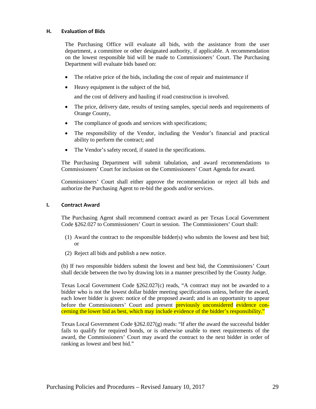#### **H. Evaluation of Bids**

The Purchasing Office will evaluate all bids, with the assistance from the user department, a committee or other designated authority, if applicable. A recommendation on the lowest responsible bid will be made to Commissioners' Court. The Purchasing Department will evaluate bids based on:

- The relative price of the bids, including the cost of repair and maintenance if
- Heavy equipment is the subject of the bid,

and the cost of delivery and hauling if road construction is involved.

- The price, delivery date, results of testing samples, special needs and requirements of Orange County,
- The compliance of goods and services with specifications;
- The responsibility of the Vendor, including the Vendor's financial and practical ability to perform the contract; and
- The Vendor's safety record, if stated in the specifications.

The Purchasing Department will submit tabulation, and award recommendations to Commissioners' Court for inclusion on the Commissioners' Court Agenda for award.

Commissioners' Court shall either approve the recommendation or reject all bids and authorize the Purchasing Agent to re-bid the goods and/or services.

#### **I. Contract Award**

The Purchasing Agent shall recommend contract award as per Texas Local Government Code §262.027 to Commissioners' Court in session. The Commissioners' Court shall:

- (1) Award the contract to the responsible bidder(s) who submits the lowest and best bid; or
- (2) Reject all bids and publish a new notice.

(b) If two responsible bidders submit the lowest and best bid, the Commissioners' Court shall decide between the two by drawing lots in a manner prescribed by the County Judge.

Texas Local Government Code §262.027(c) reads, "A contract may not be awarded to a bidder who is not the lowest dollar bidder meeting specifications unless, before the award, each lower bidder is given: notice of the proposed award; and is an opportunity to appear before the Commissioners' Court and present **previously unconsidered evidence con**cerning the lower bid as best, which may include evidence of the bidder's responsibility."

Texas Local Government Code §262.027(g) reads: "If after the award the successful bidder fails to qualify for required bonds, or is otherwise unable to meet requirements of the award, the Commissioners' Court may award the contract to the next bidder in order of ranking as lowest and best bid."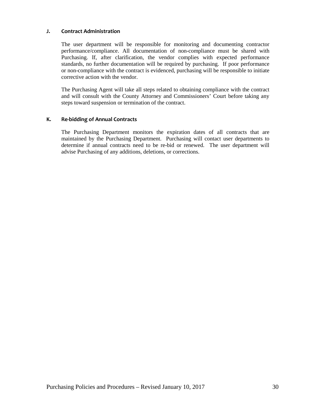#### **J. Contract Administration**

The user department will be responsible for monitoring and documenting contractor performance/compliance. All documentation of non-compliance must be shared with Purchasing. If, after clarification, the vendor complies with expected performance standards, no further documentation will be required by purchasing. If poor performance or non-compliance with the contract is evidenced, purchasing will be responsible to initiate corrective action with the vendor.

The Purchasing Agent will take all steps related to obtaining compliance with the contract and will consult with the County Attorney and Commissioners' Court before taking any steps toward suspension or termination of the contract.

#### **K. Re-bidding of Annual Contracts**

The Purchasing Department monitors the expiration dates of all contracts that are maintained by the Purchasing Department. Purchasing will contact user departments to determine if annual contracts need to be re-bid or renewed. The user department will advise Purchasing of any additions, deletions, or corrections.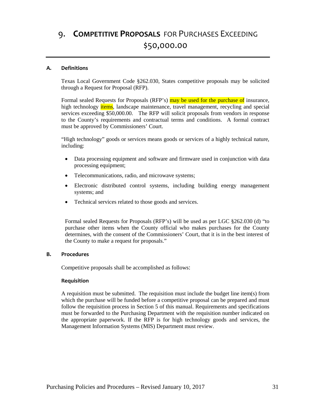## 9. **COMPETITIVE PROPOSALS** FOR PURCHASES EXCEEDING \$50,000.00

#### **A. Definitions**

Texas Local Government Code §262.030, States competitive proposals may be solicited through a Request for Proposal (RFP).

Formal sealed Requests for Proposals (RFP's) may be used for the purchase of insurance, high technology *items*, landscape maintenance, travel management, recycling and special services exceeding \$50,000.00. The RFP will solicit proposals from vendors in response to the County's requirements and contractual terms and conditions. A formal contract must be approved by Commissioners' Court.

"High technology" goods or services means goods or services of a highly technical nature, including:

- Data processing equipment and software and firmware used in conjunction with data processing equipment;
- Telecommunications, radio, and microwave systems;
- Electronic distributed control systems, including building energy management systems; and
- Technical services related to those goods and services.

Formal sealed Requests for Proposals (RFP's) will be used as per LGC §262.030 (d) "to purchase other items when the County official who makes purchases for the County determines, with the consent of the Commissioners' Court, that it is in the best interest of the County to make a request for proposals."

#### **B. Procedures**

Competitive proposals shall be accomplished as follows:

#### **Requisition**

A requisition must be submitted. The requisition must include the budget line item(s) from which the purchase will be funded before a competitive proposal can be prepared and must follow the requisition process in Section 5 of this manual. Requirements and specifications must be forwarded to the Purchasing Department with the requisition number indicated on the appropriate paperwork. If the RFP is for high technology goods and services, the Management Information Systems (MIS) Department must review.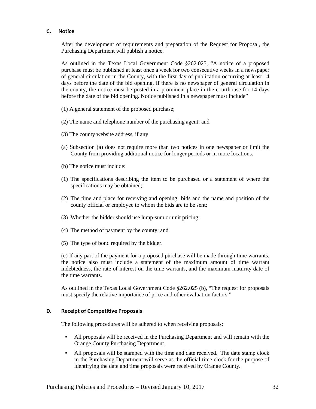#### **C. Notice**

After the development of requirements and preparation of the Request for Proposal, the Purchasing Department will publish a notice.

As outlined in the Texas Local Government Code §262.025, "A notice of a proposed purchase must be published at least once a week for two consecutive weeks in a newspaper of general circulation in the County, with the first day of publication occurring at least 14 days before the date of the bid opening. If there is no newspaper of general circulation in the county, the notice must be posted in a prominent place in the courthouse for 14 days before the date of the bid opening. Notice published in a newspaper must include"

- (1) A general statement of the proposed purchase;
- (2) The name and telephone number of the purchasing agent; and
- (3) The county website address, if any
- (a) Subsection (a) does not require more than two notices in one newspaper or limit the County from providing additional notice for longer periods or in more locations.
- (b) The notice must include:
- (1) The specifications describing the item to be purchased or a statement of where the specifications may be obtained;
- (2) The time and place for receiving and opening bids and the name and position of the county official or employee to whom the bids are to be sent;
- (3) Whether the bidder should use lump-sum or unit pricing;
- (4) The method of payment by the county; and
- (5) The type of bond required by the bidder.

(c) If any part of the payment for a proposed purchase will be made through time warrants, the notice also must include a statement of the maximum amount of time warrant indebtedness, the rate of interest on the time warrants, and the maximum maturity date of the time warrants.

As outlined in the Texas Local Government Code §262.025 (b), "The request for proposals must specify the relative importance of price and other evaluation factors."

#### **D. Receipt of Competitive Proposals**

The following procedures will be adhered to when receiving proposals:

- All proposals will be received in the Purchasing Department and will remain with the Orange County Purchasing Department.
- All proposals will be stamped with the time and date received. The date stamp clock in the Purchasing Department will serve as the official time clock for the purpose of identifying the date and time proposals were received by Orange County.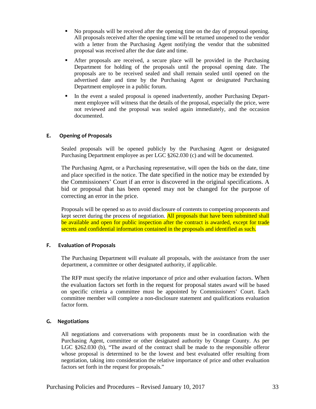- No proposals will be received after the opening time on the day of proposal opening. All proposals received after the opening time will be returned unopened to the vendor with a letter from the Purchasing Agent notifying the vendor that the submitted proposal was received after the due date and time.
- After proposals are received, a secure place will be provided in the Purchasing Department for holding of the proposals until the proposal opening date. The proposals are to be received sealed and shall remain sealed until opened on the advertised date and time by the Purchasing Agent or designated Purchasing Department employee in a public forum.
- In the event a sealed proposal is opened inadvertently, another Purchasing Department employee will witness that the details of the proposal, especially the price, were not reviewed and the proposal was sealed again immediately, and the occasion documented.

#### **E. Opening of Proposals**

Sealed proposals will be opened publicly by the Purchasing Agent or designated Purchasing Department employee as per LGC §262.030 (c) and will be documented.

The Purchasing Agent, or a Purchasing representative, will open the bids on the date, time and place specified in the notice. The date specified in the notice may be extended by the Commissioners' Court if an error is discovered in the original specifications. A bid or proposal that has been opened may not be changed for the purpose of correcting an error in the price.

Proposals will be opened so as to avoid disclosure of contents to competing proponents and kept secret during the process of negotiation. All proposals that have been submitted shall be available and open for public inspection after the contract is awarded, except for trade secrets and confidential information contained in the proposals and identified as such.

#### **F. Evaluation of Proposals**

The Purchasing Department will evaluate all proposals, with the assistance from the user department, a committee or other designated authority, if applicable.

The RFP must specify the relative importance of price and other evaluation factors. When the evaluation factors set forth in the request for proposal states award will be based on specific criteria a committee must be appointed by Commissioners' Court. Each committee member will complete a non-disclosure statement and qualifications evaluation factor form.

#### **G. Negotiations**

All negotiations and conversations with proponents must be in coordination with the Purchasing Agent, committee or other designated authority by Orange County. As per LGC §262.030 (b), "The award of the contract shall be made to the responsible offeror whose proposal is determined to be the lowest and best evaluated offer resulting from negotiation, taking into consideration the relative importance of price and other evaluation factors set forth in the request for proposals."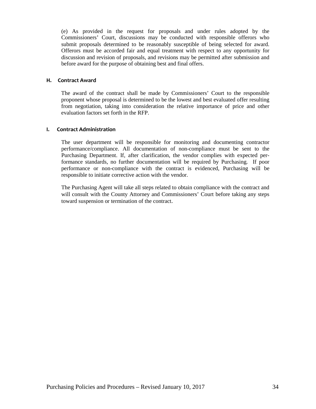(e) As provided in the request for proposals and under rules adopted by the Commissioners' Court, discussions may be conducted with responsible offerors who submit proposals determined to be reasonably susceptible of being selected for award. Offerors must be accorded fair and equal treatment with respect to any opportunity for discussion and revision of proposals, and revisions may be permitted after submission and before award for the purpose of obtaining best and final offers.

#### **H. Contract Award**

The award of the contract shall be made by Commissioners' Court to the responsible proponent whose proposal is determined to be the lowest and best evaluated offer resulting from negotiation, taking into consideration the relative importance of price and other evaluation factors set forth in the RFP.

#### **I. Contract Administration**

The user department will be responsible for monitoring and documenting contractor performance/compliance. All documentation of non-compliance must be sent to the Purchasing Department. If, after clarification, the vendor complies with expected performance standards, no further documentation will be required by Purchasing. If poor performance or non-compliance with the contract is evidenced, Purchasing will be responsible to initiate corrective action with the vendor.

The Purchasing Agent will take all steps related to obtain compliance with the contract and will consult with the County Attorney and Commissioners' Court before taking any steps toward suspension or termination of the contract.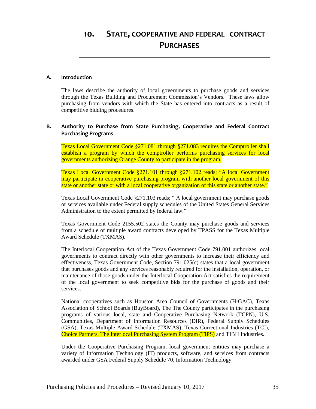#### **A. Introduction**

The laws describe the authority of local governments to purchase goods and services through the Texas Building and Procurement Commission's Vendors. These laws allow purchasing from vendors with which the State has entered into contracts as a result of competitive bidding procedures.

#### **B. Authority to Purchase from State Purchasing, Cooperative and Federal Contract Purchasing Programs**

Texas Local Government Code §271.081 through §271.083 requires the Comptroller shall establish a program by which the comptroller performs purchasing services for local governments authorizing Orange County to participate in the program.

Texas Local Government Code §271.101 through §271.102 reads; "A local Government may participate in cooperative purchasing program with another local government of this state or another state or with a local cooperative organization of this state or another state."

Texas Local Government Code §271.103 reads; " A local government may purchase goods or services available under Federal supply schedules of the United States General Services Administration to the extent permitted by federal law."

Texas Government Code 2155.502 states the County may purchase goods and services from a schedule of multiple award contracts developed by TPASS for the Texas Multiple Award Schedule (TXMAS).

The Interlocal Cooperation Act of the Texas Government Code 791.001 authorizes local governments to contract directly with other governments to increase their efficiency and effectiveness, Texas Government Code, Section 791.025(c) states that a local government that purchases goods and any services reasonably required for the installation, operation, or maintenance of those goods under the Interlocal Cooperation Act satisfies the requirement of the local government to seek competitive bids for the purchase of goods and their services.

National cooperatives such as Houston Area Council of Governments (H-GAC), Texas Association of School Boards (BuyBoard), The The County participates in the purchasing programs of various local, state and Cooperative Purchasing Network (TCPN), U.S. Communities, Department of Information Resources (DIR), Federal Supply Schedules (GSA), Texas Multiple Award Schedule (TXMAS), Texas Correctional Industries (TCI), Choice Partners, The Interlocal Purchasing System Program (TIPS) and TIBH Industries.

Under the Cooperative Purchasing Program, local government entities may purchase a variety of Information Technology (IT) products, software, and services from contracts awarded under GSA Federal Supply Schedule 70, Information Technology.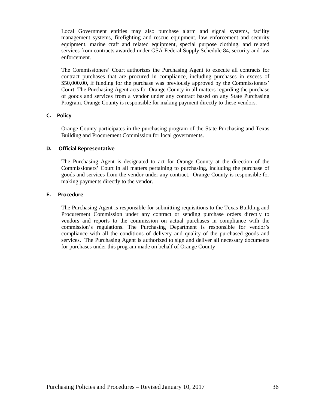Local Government entities may also purchase alarm and signal systems, facility management systems, firefighting and rescue equipment, law enforcement and security equipment, marine craft and related equipment, special purpose clothing, and related services from contracts awarded under GSA Federal Supply Schedule 84, security and law enforcement.

The Commissioners' Court authorizes the Purchasing Agent to execute all contracts for contract purchases that are procured in compliance, including purchases in excess of \$50,000.00, if funding for the purchase was previously approved by the Commissioners' Court. The Purchasing Agent acts for Orange County in all matters regarding the purchase of goods and services from a vendor under any contract based on any State Purchasing Program. Orange County is responsible for making payment directly to these vendors.

#### **C.****Policy**

Orange County participates in the purchasing program of the State Purchasing and Texas Building and Procurement Commission for local governments.

#### **D.****Official Representative**

The Purchasing Agent is designated to act for Orange County at the direction of the Commissioners' Court in all matters pertaining to purchasing, including the purchase of goods and services from the vendor under any contract. Orange County is responsible for making payments directly to the vendor.

#### **E.****Procedure**

The Purchasing Agent is responsible for submitting requisitions to the Texas Building and Procurement Commission under any contract or sending purchase orders directly to vendors and reports to the commission on actual purchases in compliance with the commission's regulations. The Purchasing Department is responsible for vendor's compliance with all the conditions of delivery and quality of the purchased goods and services. The Purchasing Agent is authorized to sign and deliver all necessary documents for purchases under this program made on behalf of Orange County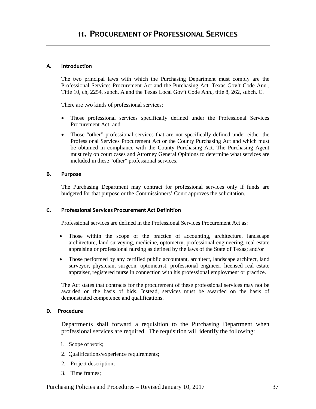#### **A. Introduction**

The two principal laws with which the Purchasing Department must comply are the Professional Services Procurement Act and the Purchasing Act. Texas Gov't Code Ann., Title 10, ch, 2254, subch. A and the Texas Local Gov't Code Ann., title 8, 262, subch. C.

There are two kinds of professional services:

- Those professional services specifically defined under the Professional Services Procurement Act; and
- Those "other" professional services that are not specifically defined under either the Professional Services Procurement Act or the County Purchasing Act and which must be obtained in compliance with the County Purchasing Act. The Purchasing Agent must rely on court cases and Attorney General Opinions to determine what services are included in these "other" professional services.

#### **B. Purpose**

The Purchasing Department may contract for professional services only if funds are budgeted for that purpose or the Commissioners' Court approves the solicitation.

#### **C. Professional Services Procurement Act Definition**

Professional services are defined in the Professional Services Procurement Act as:

- Those within the scope of the practice of accounting, architecture, landscape architecture, land surveying, medicine, optometry, professional engineering, real estate appraising or professional nursing as defined by the laws of the State of Texas; and/or
- Those performed by any certified public accountant, architect, landscape architect, land surveyor, physician, surgeon, optometrist, professional engineer, licensed real estate appraiser, registered nurse in connection with his professional employment or practice.

The Act states that contracts for the procurement of these professional services may not be awarded on the basis of bids. Instead, services must be awarded on the basis of demonstrated competence and qualifications.

#### **D. Procedure**

Departments shall forward a requisition to the Purchasing Department when professional services are required. The requisition will identify the following:

- 1. Scope of work;
- 2. Qualifications/experience requirements;
- 2. Project description;
- 3. Time frames;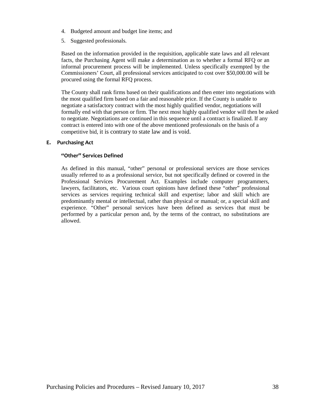- 4. Budgeted amount and budget line items; and
- 5. Suggested professionals.

Based on the information provided in the requisition, applicable state laws and all relevant facts, the Purchasing Agent will make a determination as to whether a formal RFQ or an informal procurement process will be implemented. Unless specifically exempted by the Commissioners' Court, all professional services anticipated to cost over \$50,000.00 will be procured using the formal RFQ process.

The County shall rank firms based on their qualifications and then enter into negotiations with the most qualified firm based on a fair and reasonable price. If the County is unable to negotiate a satisfactory contract with the most highly qualified vendor, negotiations will formally end with that person or firm. The next most highly qualified vendor will then be asked to negotiate. Negotiations are continued in this sequence until a contract is finalized. If any contract is entered into with one of the above mentioned professionals on the basis of a competitive bid, it is contrary to state law and is void.

#### **E. Purchasing Act**

#### **"Other" Services Defined**

As defined in this manual, "other" personal or professional services are those services usually referred to as a professional service, but not specifically defined or covered in the Professional Services Procurement Act. Examples include computer programmers, lawyers, facilitators, etc. Various court opinions have defined these "other" professional services as services requiring technical skill and expertise; labor and skill which are predominantly mental or intellectual, rather than physical or manual; or, a special skill and experience. "Other" personal services have been defined as services that must be performed by a particular person and, by the terms of the contract, no substitutions are allowed.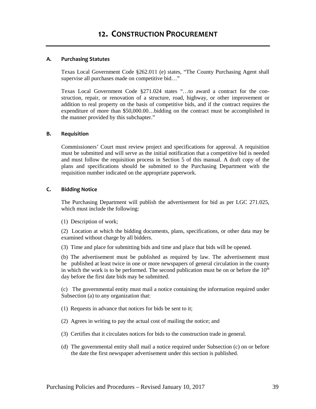#### **A. Purchasing Statutes**

Texas Local Government Code §262.011 (e) states, "The County Purchasing Agent shall supervise all purchases made on competitive bid..."

Texas Local Government Code §271.024 states "…to award a contract for the construction, repair, or renovation of a structure, road, highway, or other improvement or addition to real property on the basis of competitive bids, and if the contract requires the expenditure of more than \$50,000.00…bidding on the contract must be accomplished in the manner provided by this subchapter."

#### **B. Requisition**

Commissioners' Court must review project and specifications for approval. A requisition must be submitted and will serve as the initial notification that a competitive bid is needed and must follow the requisition process in Section 5 of this manual. A draft copy of the plans and specifications should be submitted to the Purchasing Department with the requisition number indicated on the appropriate paperwork.

#### **C. Bidding Notice**

The Purchasing Department will publish the advertisement for bid as per LGC 271.025, which must include the following:

(1) Description of work;

(2) Location at which the bidding documents, plans, specifications, or other data may be examined without charge by all bidders.

(3) Time and place for submitting bids and time and place that bids will be opened.

(b) The advertisement must be published as required by law. The advertisement must be published at least twice in one or more newspapers of general circulation in the county in which the work is to be performed. The second publication must be on or before the  $10<sup>th</sup>$ day before the first date bids may be submitted.

(c) The governmental entity must mail a notice containing the information required under Subsection (a) to any organization that:

(1) Requests in advance that notices for bids be sent to it;

(2) Agrees in writing to pay the actual cost of mailing the notice; and

- (3) Certifies that it circulates notices for bids to the construction trade in general.
- (d) The governmental entity shall mail a notice required under Subsection (c) on or before the date the first newspaper advertisement under this section is published.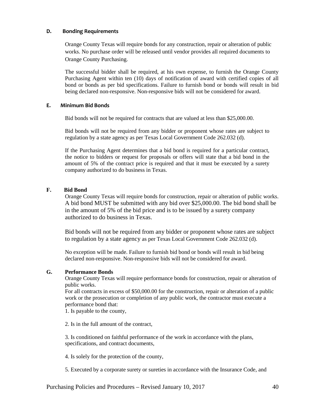#### **D. Bonding Requirements**

Orange County Texas will require bonds for any construction, repair or alteration of public works. No purchase order will be released until vendor provides all required documents to Orange County Purchasing.

The successful bidder shall be required, at his own expense, to furnish the Orange County Purchasing Agent within ten (10) days of notification of award with certified copies of all bond or bonds as per bid specifications. Failure to furnish bond or bonds will result in bid being declared non-responsive. Non-responsive bids will not be considered for award.

#### **E***.* **Minimum Bid Bonds**

Bid bonds will not be required for contracts that are valued at less than \$25,000.00.

Bid bonds will not be required from any bidder or proponent whose rates are subject to regulation by a state agency as per Texas Local Government Code 262.032 (d).

If the Purchasing Agent determines that a bid bond is required for a particular contract, the notice to bidders or request for proposals or offers will state that a bid bond in the amount of 5% of the contract price is required and that it must be executed by a surety company authorized to do business in Texas.

#### **F. Bid Bond**

Orange County Texas will require bonds for construction, repair or alteration of public works. A bid bond MUST be submitted with any bid over \$25,000.00. The bid bond shall be in the amount of 5% of the bid price and is to be issued by a surety company authorized to do business in Texas.

Bid bonds will not be required from any bidder or proponent whose rates are subject to regulation by a state agency as per Texas Local Government Code 262.032 (d).

No exception will be made. Failure to furnish bid bond or bonds will result in bid being declared non-responsive. Non-responsive bids will not be considered for award.

#### **G. Performance Bonds**

Orange County Texas will require performance bonds for construction, repair or alteration of public works.

For all contracts in excess of \$50,000.00 for the construction, repair or alteration of a public work or the prosecution or completion of any public work, the contractor must execute a performance bond that:

1. Is payable to the county,

2. Is in the full amount of the contract,

3. Is conditioned on faithful performance of the work in accordance with the plans, specifications, and contract documents,

4. Is solely for the protection of the county,

5. Executed by a corporate surety or sureties in accordance with the Insurance Code, and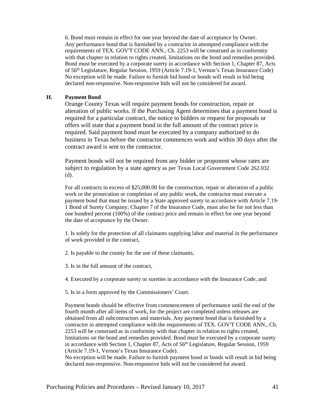6. Bond must remain in effect for one year beyond the date of acceptance by Owner. Any performance bond that is furnished by a contractor in attempted compliance with the requirements of TEX. GOV'T CODE ANN., Ch. 2253 will be construed as in conformity with that chapter in relation to rights created, limitations on the bond and remedies provided. Bond must be executed by a corporate surety in accordance with Section 1, Chapter 87, Acts of 56<sup>th</sup> Legislature, Regular Session, 1959 (Article 7.19-1, Vernon's Texas Insurance Code) No exception will be made. Failure to furnish bid bond or bonds will result in bid being declared non-responsive. Non-responsive bids will not be considered for award.

#### **H. Payment Bond**

Orange County Texas will require payment bonds for construction, repair or alteration of public works. If the Purchasing Agent determines that a payment bond is required for a particular contract, the notice to bidders or request for proposals or offers will state that a payment bond in the full amount of the contract price is required. Said payment bond must be executed by a company authorized to do business in Texas before the contractor commences work and within 30 days after the contract award is sent to the contractor.

Payment bonds will not be required from any bidder or proponent whose rates are subject to regulation by a state agency as per Texas Local Government Code 262.032 (d).

For all contracts in excess of \$25,000.00 for the construction, repair or alteration of a public work or the prosecution or completion of any public work, the contractor must execute a payment bond that must be issued by a State approved surety in accordance with Article 7.19- 1 Bond of Surety Company; Chapter 7 of the Insurance Code, must also be for not less than one hundred percent (100%) of the contract price and remain in effect for one year beyond the date of acceptance by the Owner.

1. Is solely for the protection of all claimants supplying labor and material in the performance of work provided in the contract,

2. Is payable to the county for the use of these claimants,

3. Is in the full amount of the contract,

4. Executed by a corporate surety or sureties in accordance with the Insurance Code, and

5. Is in a form approved by the Commissioners' Court.

Payment bonds should be effective from commencement of performance until the end of the fourth month after all items of work, for the project are completed unless releases are obtained from all subcontractors and materials. Any payment bond that is furnished by a contractor in attempted compliance with the requirements of TEX. GOV'T CODE ANN., Ch. 2253 will be construed as in conformity with that chapter in relation to rights created, limitations on the bond and remedies provided. Bond must be executed by a corporate surety in accordance with Section 1, Chapter 87, Acts of 56<sup>th</sup> Legislature, Regular Session, 1959 (Article 7.19-1, Vernon's Texas Insurance Code).

No exception will be made. Failure to furnish payment bond or bonds will result in bid being declared non-responsive. Non-responsive bids will not be considered for award.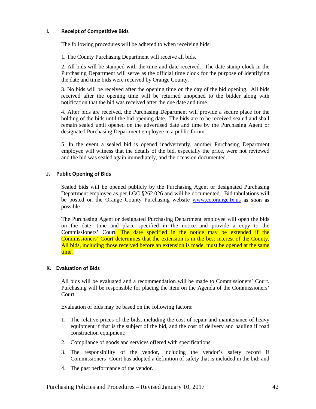#### **I. Receipt of Competitive Bids**

The following procedures will be adhered to when receiving bids:

1. The County Purchasing Department will receive all bids.

2. All bids will be stamped with the time and date received. The date stamp clock in the Purchasing Department will serve as the official time clock for the purpose of identifying the date and time bids were received by Orange County.

3. No bids will be received after the opening time on the day of the bid opening. All bids received after the opening time will be returned unopened to the bidder along with notification that the bid was received after the due date and time.

4. After bids are received, the Purchasing Department will provide a secure place for the holding of the bids until the bid opening date. The bids are to be received sealed and shall remain sealed until opened on the advertised date and time by the Purchasing Agent or designated Purchasing Department employee in a public forum.

5. In the event a sealed bid is opened inadvertently, another Purchasing Department employee will witness that the details of the bid, especially the price, were not reviewed and the bid was sealed again immediately, and the occasion documented.

#### **J. Public Opening of Bids**

Sealed bids will be opened publicly by the Purchasing Agent or designated Purchasing Department employee as per LGC §262.026 and will be documented. Bid tabulations will be posted on the Orange County Purchasing website [www.co.orange.tx.us](http://www.co.orange.tx.us/) as soon as possible

The Purchasing Agent or designated Purchasing Department employee will open the bids on the date; time and place specified in the notice and provide a copy to the Commissioners' Court. The date specified in the notice may be extended if the Commissioners' Court determines that the extension is in the best interest of the County. All bids, including those received before an extension is made, must be opened at the same time.

#### **K. Evaluation of Bids**

All bids will be evaluated and a recommendation will be made to Commissioners' Court. Purchasing will be responsible for placing the item on the Agenda of the Commissioners' Court.

Evaluation of bids may be based on the following factors:

- 1. The relative prices of the bids, including the cost of repair and maintenance of heavy equipment if that is the subject of the bid, and the cost of delivery and hauling if road construction equipment;
- 2. Compliance of goods and services offered with specifications;
- 3. The responsibility of the vendor, including the vendor's safety record if Commissioners' Court has adopted a definition of safety that is included in the bid; and
- 4. The past performance of the vendor.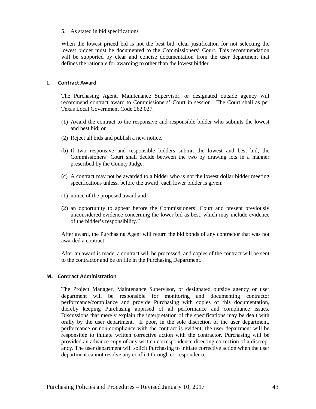#### 5. As stated in bid specifications

When the lowest priced bid is not the best bid, clear justification for not selecting the lowest bidder must be documented to the Commissioners' Court. This recommendation will be supported by clear and concise documentation from the user department that defines the rationale for awarding to other than the lowest bidder.

#### **L. Contract Award**

The Purchasing Agent, Maintenance Supervisor, or designated outside agency will recommend contract award to Commissioners' Court in session. The Court shall as per Texas Local Government Code 262.027.

- (1) Award the contract to the responsive and responsible bidder who submits the lowest and best bid; or
- (2) Reject all bids and publish a new notice.
- (b) If two responsive and responsible bidders submit the lowest and best bid, the Commissioners' Court shall decide between the two by drawing lots in a manner prescribed by the County Judge.
- (c) A contract may not be awarded to a bidder who is not the lowest dollar bidder meeting specifications unless, before the award, each lower bidder is given:
- (1) notice of the proposed award and
- (2) an opportunity to appear before the Commissioners' Court and present previously unconsidered evidence concerning the lower bid as best, which may include evidence of the bidder's responsibility."

After award, the Purchasing Agent will return the bid bonds of any contractor that was not awarded a contract.

After an award is made, a contract will be processed, and copies of the contract will be sent to the contractor and be on file in the Purchasing Department.

#### **M. Contract Administration**

The Project Manager, Maintenance Supervisor, or designated outside agency or user department will be responsible for monitoring and documenting contractor performance/compliance and provide Purchasing with copies of this documentation, thereby keeping Purchasing apprised of all performance and compliance issues. Discussions that merely explain the interpretation of the specifications may be dealt with orally by the user department. If poor, in the sole discretion of the user department, performance or non-compliance with the contract is evident; the user department will be responsible to initiate written corrective action with the contractor. Purchasing will be provided an advance copy of any written correspondence directing correction of a discrepancy. The user department will solicit Purchasing to initiate corrective action when the user department cannot resolve any conflict through correspondence.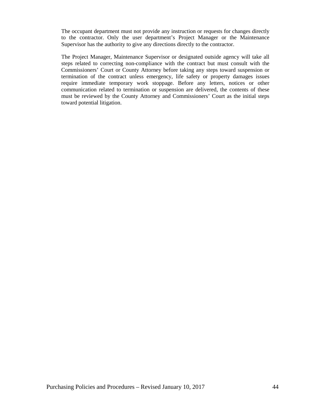The occupant department must not provide any instruction or requests for changes directly to the contractor. Only the user department's Project Manager or the Maintenance Supervisor has the authority to give any directions directly to the contractor.

The Project Manager, Maintenance Supervisor or designated outside agency will take all steps related to correcting non-compliance with the contract but must consult with the Commissioners' Court or County Attorney before taking any steps toward suspension or termination of the contract unless emergency, life safety or property damages issues require immediate temporary work stoppage. Before any letters, notices or other communication related to termination or suspension are delivered, the contents of these must be reviewed by the County Attorney and Commissioners' Court as the initial steps toward potential litigation.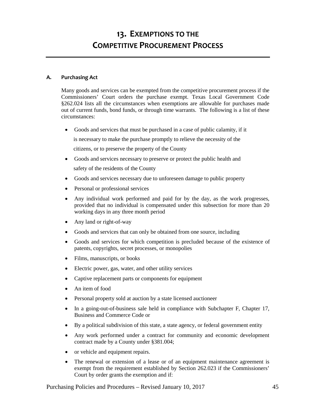# **13. EXEMPTIONS TO THE COMPETITIVE PROCUREMENT PROCESS**

#### **A. Purchasing Act**

Many goods and services can be exempted from the competitive procurement process if the Commissioners' Court orders the purchase exempt. Texas Local Government Code §262.024 lists all the circumstances when exemptions are allowable for purchases made out of current funds, bond funds, or through time warrants. The following is a list of these circumstances:

• Goods and services that must be purchased in a case of public calamity, if it is necessary to make the purchase promptly to relieve the necessity of the

citizens, or to preserve the property of the County

- Goods and services necessary to preserve or protect the public health and safety of the residents of the County
- Goods and services necessary due to unforeseen damage to public property
- Personal or professional services
- Any individual work performed and paid for by the day, as the work progresses, provided that no individual is compensated under this subsection for more than 20 working days in any three month period
- Any land or right-of-way
- Goods and services that can only be obtained from one source, including
- Goods and services for which competition is precluded because of the existence of patents, copyrights, secret processes, or monopolies
- Films, manuscripts, or books
- Electric power, gas, water, and other utility services
- Captive replacement parts or components for equipment
- An item of food
- Personal property sold at auction by a state licensed auctioneer
- In a going-out-of-business sale held in compliance with Subchapter F, Chapter 17, Business and Commerce Code or
- By a political subdivision of this state, a state agency, or federal government entity
- Any work performed under a contract for community and economic development contract made by a County under §381.004;
- or vehicle and equipment repairs.
- The renewal or extension of a lease or of an equipment maintenance agreement is exempt from the requirement established by Section 262.023 if the Commissioners' Court by order grants the exemption and if: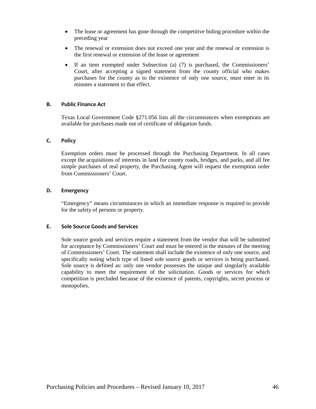- The lease or agreement has gone through the competitive biding procedure within the preceding year
- The renewal or extension does not exceed one year and the renewal or extension is the first renewal or extension of the lease or agreement
- If an item exempted under Subsection (a) (7) is purchased, the Commissioners' Court, after accepting a signed statement from the county official who makes purchases for the county as to the existence of only one source, must enter in its minutes a statement to that effect.

#### **B. Public Finance Act**

Texas Local Government Code §271.056 lists all the circumstances when exemptions are available for purchases made out of certificate of obligation funds.

#### **C. Policy**

Exemption orders must be processed through the Purchasing Department. In all cases except the acquisitions of interests in land for county roads, bridges, and parks, and all fee simple purchases of real property, the Purchasing Agent will request the exemption order from Commissioners' Court.

#### **D. Emergency**

"Emergency" means circumstances in which an immediate response is required to provide for the safety of persons or property.

#### **E. Sole Source Goods and Services**

Sole source goods and services require a statement from the vendor that will be submitted for acceptance by Commissioners' Court and must be entered in the minutes of the meeting of Commissioners' Court. The statement shall include the existence of only one source, and specifically noting which type of listed sole source goods or services is being purchased. Sole source is defined as: only one vendor possesses the unique and singularly available capability to meet the requirement of the solicitation. Goods or services for which competition is precluded because of the existence of patents, copyrights, secret process or monopolies.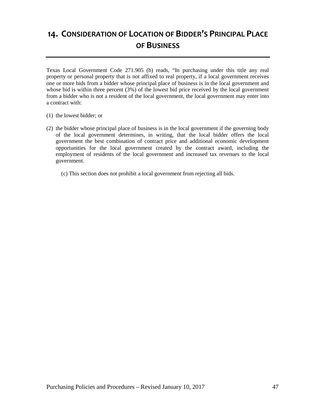# **14. CONSIDERATION OF LOCATION OF BIDDER'S PRINCIPAL PLACE OF BUSINESS**

Texas Local Government Code 271.905 (b) reads, "In purchasing under this title any real property or personal property that is not affixed to real property, if a local government receives one or more bids from a bidder whose principal place of business is in the local government and whose bid is within three percent (3%) of the lowest bid price received by the local government from a bidder who is not a resident of the local government, the local government may enter into a contract with:

- (1) the lowest bidder; or
- (2) the bidder whose principal place of business is in the local government if the governing body of the local government determines, in writing, that the local bidder offers the local government the best combination of contract price and additional economic development opportunities for the local government created by the contract award, including the employment of residents of the local government and increased tax revenues to the local government.
	- (c) This section does not prohibit a local government from rejecting all bids.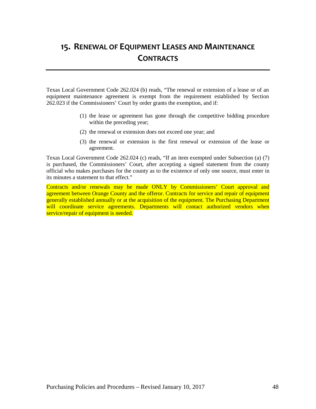# **15. RENEWAL OF EQUIPMENT LEASES AND MAINTENANCE CONTRACTS**

Texas Local Government Code 262.024 (b) reads, "The renewal or extension of a lease or of an equipment maintenance agreement is exempt from the requirement established by Section 262.023 if the Commissioners' Court by order grants the exemption, and if:

- (1) the lease or agreement has gone through the competitive bidding procedure within the preceding year;
- (2) the renewal or extension does not exceed one year; and
- (3) the renewal or extension is the first renewal or extension of the lease or agreement.

Texas Local Government Code 262.024 (c) reads, "If an item exempted under Subsection (a) (7) is purchased, the Commissioners' Court, after accepting a signed statement from the county official who makes purchases for the county as to the existence of only one source, must enter in its minutes a statement to that effect."

Contracts and/or renewals may be made ONLY by Commissioners' Court approval and agreement between Orange County and the offeror. Contracts for service and repair of equipment generally established annually or at the acquisition of the equipment. The Purchasing Department will coordinate service agreements. Departments will contact authorized vendors when service/repair of equipment is needed.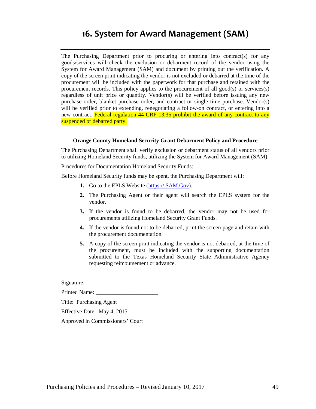# **16. System for Award Management (SAM**)

The Purchasing Department prior to procuring or entering into contract(s) for any goods/services will check the exclusion or debarment record of the vendor using the System for Award Management (SAM) and document by printing out the verification. A copy of the screen print indicating the vendor is not excluded or debarred at the time of the procurement will be included with the paperwork for that purchase and retained with the procurement records. This policy applies to the procurement of all good(s) or services(s) regardless of unit price or quantity. Vendor(s) will be verified before issuing any new purchase order, blanket purchase order, and contract or single time purchase. Vendor(s) will be verified prior to extending, renegotiating a follow-on contract, or entering into a new contract. Federal regulation 44 CRF 13.35 prohibit the award of any contract to any suspended or debarred party.

#### **Orange County Homeland Security Grant Debarment Policy and Procedure**

The Purchasing Department shall verify exclusion or debarment status of all vendors prior to utilizing Homeland Security funds, utilizing the System for Award Management (SAM).

Procedures for Documentation Homeland Security Funds:

Before Homeland Security funds may be spent, the Purchasing Department will:

- **1.** Go to the EPLS Website [\(https://.SAM.Gov\)](https://.sam.gov/).
- **2.** The Purchasing Agent or their agent will search the EPLS system for the vendor.
- **3.** If the vendor is found to be debarred, the vendor may not be used for procurements utilizing Homeland Security Grant Funds.
- **4.** If the vendor is found not to be debarred, print the screen page and retain with the procurement documentation.
- **5.** A copy of the screen print indicating the vendor is not debarred, at the time of the procurement, must be included with the supporting documentation submitted to the Texas Homeland Security State Administrative Agency requesting reimbursement or advance.

Signature:\_\_\_\_\_\_\_\_\_\_\_\_\_\_\_\_\_\_\_\_\_\_\_\_\_\_

Printed Name:

Title: Purchasing Agent

Effective Date: May 4, 2015

Approved in Commissioners' Court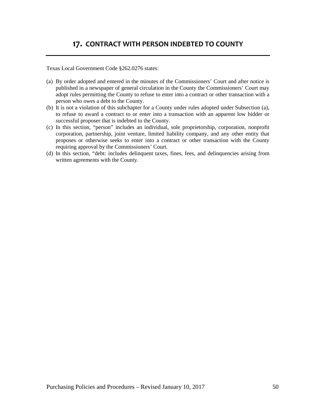### **17. CONTRACT WITH PERSON INDEBTED TO COUNTY**

Texas Local Government Code §262.0276 states:

- (a) By order adopted and entered in the minutes of the Commissioners' Court and after notice is published in a newspaper of general circulation in the County the Commissioners' Court may adopt rules permitting the County to refuse to enter into a contract or other transaction with a person who owes a debt to the County.
- (b) It is not a violation of this subchapter for a County under rules adopted under Subsection (a), to refuse to award a contract to or enter into a transaction with an apparent low bidder or successful proposer that is indebted to the County.
- (c) In this section, "person" includes an individual, sole proprietorship, corporation, nonprofit corporation, partnership, joint venture, limited liability company, and any other entity that proposes or otherwise seeks to enter into a contract or other transaction with the County requiring approval by the Commissioners' Court.
- (d) In this section, "debt: includes delinquent taxes, fines, fees, and delinquencies arising from written agreements with the County.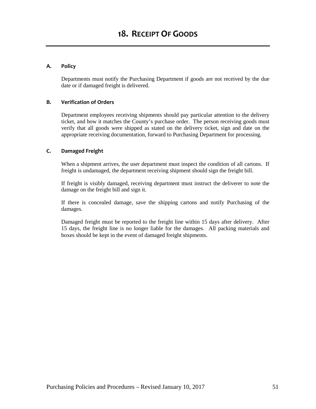#### **A. Policy**

Departments must notify the Purchasing Department if goods are not received by the due date or if damaged freight is delivered.

#### **B. Verification of Orders**

Department employees receiving shipments should pay particular attention to the delivery ticket, and how it matches the County's purchase order. The person receiving goods must verify that all goods were shipped as stated on the delivery ticket, sign and date on the appropriate receiving documentation, forward to Purchasing Department for processing.

#### **C. Damaged Freight**

When a shipment arrives, the user department must inspect the condition of all cartons. If freight is undamaged, the department receiving shipment should sign the freight bill.

If freight is visibly damaged, receiving department must instruct the deliverer to note the damage on the freight bill and sign it.

If there is concealed damage, save the shipping cartons and notify Purchasing of the damages.

Damaged freight must be reported to the freight line within 15 days after delivery. After 15 days, the freight line is no longer liable for the damages. All packing materials and boxes should be kept in the event of damaged freight shipments.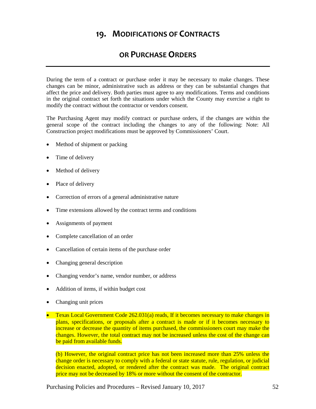### **19. MODIFICATIONS OF CONTRACTS**

### **OR PURCHASE ORDERS**

During the term of a contract or purchase order it may be necessary to make changes. These changes can be minor, administrative such as address or they can be substantial changes that affect the price and delivery. Both parties must agree to any modifications. Terms and conditions in the original contract set forth the situations under which the County may exercise a right to modify the contract without the contractor or vendors consent.

The Purchasing Agent may modify contract or purchase orders, if the changes are within the general scope of the contract including the changes to any of the following: Note: All Construction project modifications must be approved by Commissioners' Court.

- Method of shipment or packing
- Time of delivery
- Method of delivery
- Place of delivery
- Correction of errors of a general administrative nature
- Time extensions allowed by the contract terms and conditions
- Assignments of payment
- Complete cancellation of an order
- Cancellation of certain items of the purchase order
- Changing general description
- Changing vendor's name, vendor number, or address
- Addition of items, if within budget cost
- Changing unit prices
- Texas Local Government Code 262.031(a) reads, If it becomes necessary to make changes in plans, specifications, or proposals after a contract is made or if it becomes necessary to increase or decrease the quantity of items purchased, the commissioners court may make the changes. However, the total contract may not be increased unless the cost of the change can be paid from available funds.

(b) However, the original contract price has not been increased more than 25% unless the change order is necessary to comply with a federal or state statute, rule, regulation, or judicial decision enacted, adopted, or rendered after the contract was made. The original contract price may not be decreased by 18% or more without the consent of the contractor.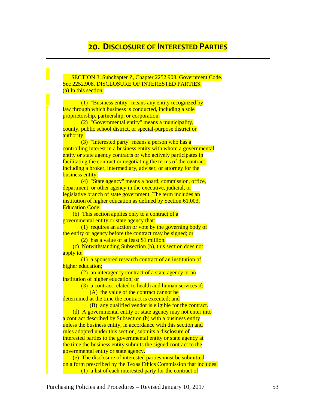### **20. DISCLOSURE OF INTERESTED PARTIES**

 SECTION 3. Subchapter Z, Chapter 2252.908, Government Code. Sec 2252.908. DISCLOSURE OF INTERESTED PARTIES. (a) In this section:

 (1) "Business entity" means any entity recognized by law through which business is conducted, including a sole proprietorship, partnership, or corporation.

 (2) "Governmental entity" means a municipality, county, public school district, or special-purpose district or authority.

 (3) "Interested party" means a person who has a controlling interest in a business entity with whom a governmental entity or state agency contracts or who actively participates in facilitating the contract or negotiating the terms of the contract, including a broker, intermediary, adviser, or attorney for the business entity.

 (4) "State agency" means a board, commission, office, department, or other agency in the executive, judicial, or legislative branch of state government. The term includes an institution of higher education as defined by Section 61.003, Education Code.

 (b) This section applies only to a contract of a governmental entity or state agency that:

 (1) requires an action or vote by the governing body of the entity or agency before the contract may be signed; or

(2) has a value of at least \$1 million.

 (c) Notwithstanding Subsection (b), this section does not apply to:

 (1) a sponsored research contract of an institution of higher education;

 (2) an interagency contract of a state agency or an institution of higher education; or

(3) a contract related to health and human services if:

(A) the value of the contract cannot be

determined at the time the contract is executed; and (B) any qualified vendor is eligible for the contract.

 (d) A governmental entity or state agency may not enter into a contract described by Subsection (b) with a business entity unless the business entity, in accordance with this section and rules adopted under this section, submits a disclosure of interested parties to the governmental entity or state agency at the time the business entity submits the signed contract to the governmental entity or state agency.

 (e) The disclosure of interested parties must be submitted on a form prescribed by the Texas Ethics Commission that includes: (1) a list of each interested party for the contract of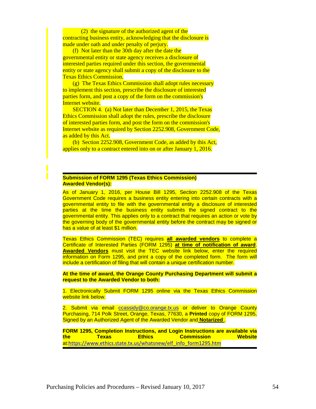(2) the signature of the authorized agent of the contracting business entity, acknowledging that the disclosure is made under oath and under penalty of perjury.

 (f) Not later than the 30th day after the date the governmental entity or state agency receives a disclosure of interested parties required under this section, the governmental entity or state agency shall submit a copy of the disclosure to the Texas Ethics Commission.

 (g) The Texas Ethics Commission shall adopt rules necessary to implement this section, prescribe the disclosure of interested parties form, and post a copy of the form on the commission's Internet website.

 SECTION 4. (a) Not later than December 1, 2015, the Texas Ethics Commission shall adopt the rules, prescribe the disclosure of interested parties form, and post the form on the commission's Internet website as required by Section 2252.908, Government Code, as added by this Act.

 (b) Section 2252.908, Government Code, as added by this Act, applies only to a contract entered into on or after January 1, 2016.

#### **Submission of FORM 1295 (Texas Ethics Commission) Awarded Vendor(s):**

As of January 1, 2016, per House Bill 1295, Section 2252.908 of the Texas Government Code requires a business entity entering into certain contracts with a governmental entity to file with the governmental entity a disclosure of interested parties at the time the business entity submits the signed contract to the governmental entity. This applies only to a contract that requires an action or vote by the governing body of the governmental entity before the contract may be signed or has a value of at least \$1 million.

Texas Ethics Commission (TEC) requires **all awarded vendors** to complete a Certificate of Interested Parties (FORM 1295) **at time of notification of award**. **Awarded Vendors** must visit the TEC website link below, enter the required information on Form 1295, and print a copy of the completed form. The form will include a certification of filing that will contain a unique certification number.

**At the time of award, the Orange County Purchasing Department will submit a request to the Awarded Vendor to both:**

1. Electronically Submit FORM 1295 online via the Texas Ethics Commission website link below.

2. Submit via email [ccassidy@co.orange.tx.us](mailto:ccassidy@co.orange.tx.us) or deliver to Orange County Purchasing, 714 Polk Street, Orange, Texas, 77630, a **Printed** copy of FORM 1295, Signed by an Authorized Agent of the Awarded Vendor and **Notarized** .

**FORM 1295, Completion Instructions, and Login Instructions are available via the Texas Ethics Commission Website** at:[https://www.ethics.state.tx.us/whatsnew/elf\\_info\\_form1295.htm](https://www.ethics.state.tx.us/whatsnew/elf_info_form1295.htm)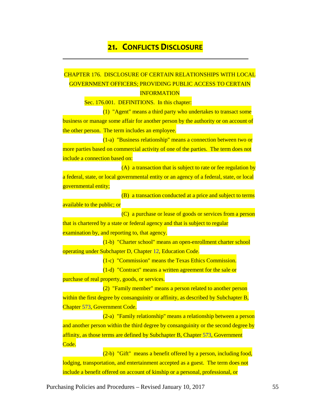### **21. CONFLICTS DISCLOSURE**

### CHAPTER 176. DISCLOSURE OF CERTAIN RELATIONSHIPS WITH LOCAL GOVERNMENT OFFICERS; PROVIDING PUBLIC ACCESS TO CERTAIN **INFORMATION**

Sec. 176.001. DEFINITIONS. In this chapter:

(1) "Agent" means a third party who undertakes to transact some business or manage some affair for another person by the authority or on account of the other person. The term includes an employee.

(1-a) "Business relationship" means a connection between two or more parties based on commercial activity of one of the parties. The term does not include a connection based on:

(A) a transaction that is subject to rate or fee regulation by a federal, state, or local governmental entity or an agency of a federal, state, or local governmental entity;

(B) a transaction conducted at a price and subject to terms

available to the public; or

(C) a purchase or lease of goods or services from a person that is chartered by a state or federal agency and that is subject to regular examination by, and reporting to, that agency.

(1-b) "Charter school" means an open-enrollment charter school operating under Subchapter D, Chapter [12,](http://www.statutes.legis.state.tx.us/GetStatute.aspx?Code=ED&Value=12) Education Code.

(1-c) "Commission" means the Texas Ethics Commission.

(1-d) "Contract" means a written agreement for the sale or purchase of real property, goods, or services.

(2) "Family member" means a person related to another person within the first degree by consanguinity or affinity, as described by Subchapter B, Chapter [573,](http://www.statutes.legis.state.tx.us/GetStatute.aspx?Code=GV&Value=573) Government Code.

(2-a) "Family relationship" means a relationship between a person and another person within the third degree by consanguinity or the second degree by affinity, as those terms are defined by Subchapter B, Chapter [573,](http://www.statutes.legis.state.tx.us/GetStatute.aspx?Code=GV&Value=573) Government Code.

(2-b) "Gift" means a benefit offered by a person, including food, lodging, transportation, and entertainment accepted as a guest. The term does not include a benefit offered on account of kinship or a personal, professional, or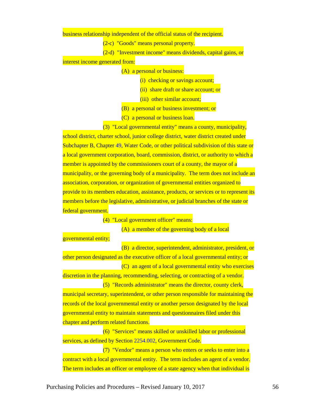business relationship independent of the official status of the recipient.

(2-c) "Goods" means personal property.

(2-d) "Investment income" means dividends, capital gains, or

interest income generated from:

(A) a personal or business:

(i) checking or savings account;

(ii) share draft or share account; or

(iii) other similar account;

(B) a personal or business investment; or

(C) a personal or business loan.

(3) "Local governmental entity" means a county, municipality,

school district, charter school, junior college district, water district created under Subchapter B, Chapter [49,](http://www.statutes.legis.state.tx.us/GetStatute.aspx?Code=WA&Value=49) Water Code, or other political subdivision of this state or a local government corporation, board, commission, district, or authority to which a member is appointed by the commissioners court of a county, the mayor of a municipality, or the governing body of a municipality. The term does not include an association, corporation, or organization of governmental entities organized to provide to its members education, assistance, products, or services or to represent its members before the legislative, administrative, or judicial branches of the state or federal government.

(4) "Local government officer" means:

(A) a member of the governing body of a local

governmental entity;

(B) a director, superintendent, administrator, president, or other person designated as the executive officer of a local governmental entity; or (C) an agent of a local governmental entity who exercises discretion in the planning, recommending, selecting, or contracting of a vendor. (5) "Records administrator" means the director, county clerk, municipal secretary, superintendent, or other person responsible for maintaining the records of the local governmental entity or another person designated by the local governmental entity to maintain statements and questionnaires filed under this chapter and perform related functions.

(6) "Services" means skilled or unskilled labor or professional services, as defined by Sectio[n 2254.002,](http://www.statutes.legis.state.tx.us/GetStatute.aspx?Code=GV&Value=2254.002) Government Code.

(7) "Vendor" means a person who enters or seeks to enter into a contract with a local governmental entity. The term includes an agent of a vendor. The term includes an officer or employee of a state agency when that individual is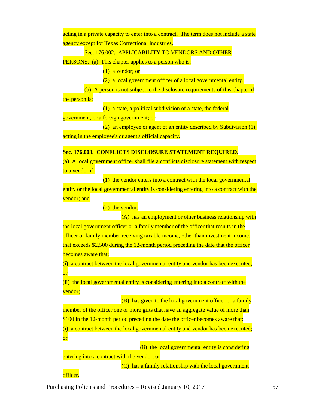acting in a private capacity to enter into a contract. The term does not include a state agency except for Texas Correctional Industries.

#### Sec. 176.002. APPLICABILITY TO VENDORS AND OTHER

PERSONS. (a) This chapter applies to a person who is:

 $(1)$  a vendor; or

(2) a local government officer of a local governmental entity.

(b) A person is not subject to the disclosure requirements of this chapter if the person is:

(1) a state, a political subdivision of a state, the federal government, or a foreign government; or

(2) an employee or agent of an entity described by Subdivision  $(1)$ , acting in the employee's or agent's official capacity.

#### **Sec. 176.003. CONFLICTS DISCLOSURE STATEMENT REQUIRED.**

(a) A local government officer shall file a conflicts disclosure statement with respect to a vendor if:

(1) the vendor enters into a contract with the local governmental entity or the local governmental entity is considering entering into a contract with the vendor; and

 $(2)$  the vendor:

(A) has an employment or other business relationship with the local government officer or a family member of the officer that results in the officer or family member receiving taxable income, other than investment income, that exceeds \$2,500 during the 12-month period preceding the date that the officer becomes aware that:

(i) a contract between the local governmental entity and vendor has been executed; or

(ii) the local governmental entity is considering entering into a contract with the vendor;

(B) has given to the local government officer or a family member of the officer one or more gifts that have an aggregate value of more than \$100 in the 12-month period preceding the date the officer becomes aware that: (i) a contract between the local governmental entity and vendor has been executed;

(ii) the local governmental entity is considering entering into a contract with the vendor; or

(C) has a family relationship with the local government

officer.

or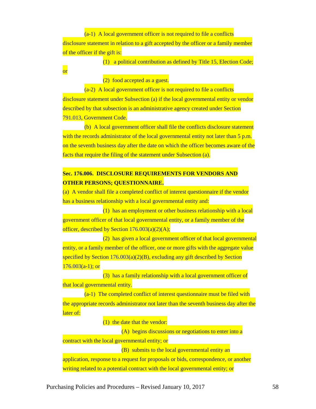(a-1) A local government officer is not required to file a conflicts disclosure statement in relation to a gift accepted by the officer or a family member of the officer if the gift is:

(1) a political contribution as defined by Title 15, Election Code;

or

(2) food accepted as a guest.

(a-2) A local government officer is not required to file a conflicts disclosure statement under Subsection (a) if the local governmental entity or vendor described by that subsection is an administrative agency created under Section [791.013,](http://www.statutes.legis.state.tx.us/GetStatute.aspx?Code=GV&Value=791.013&Date=12/12/2015) Government Code.

(b) A local government officer shall file the conflicts disclosure statement with the records administrator of the local governmental entity not later than 5 p.m. on the seventh business day after the date on which the officer becomes aware of the facts that require the filing of the statement under Subsection (a).

### **Sec. 176.006. DISCLOSURE REQUIREMENTS FOR VENDORS AND OTHER PERSONS; QUESTIONNAIRE.**

(a) A vendor shall file a completed conflict of interest questionnaire if the vendor has a business relationship with a local governmental entity and:

(1) has an employment or other business relationship with a local government officer of that local governmental entity, or a family member of the officer, described by Section  $176.003(a)(2)(A);$ 

(2) has given a local government officer of that local governmental entity, or a family member of the officer, one or more gifts with the aggregate value specified by Section  $176.003(a)(2)(B)$ , excluding any gift described by Section  $176.003(a-1)$  $176.003(a-1)$ ; or

(3) has a family relationship with a local government officer of that local governmental entity.

 $(a-1)$  The completed conflict of interest questionnaire must be filed with the appropriate records administrator not later than the seventh business day after the later of:

(1) the date that the vendor:

(A) begins discussions or negotiations to enter into a

contract with the local governmental entity; or

(B) submits to the local governmental entity an

application, response to a request for proposals or bids, correspondence, or another writing related to a potential contract with the local governmental entity; or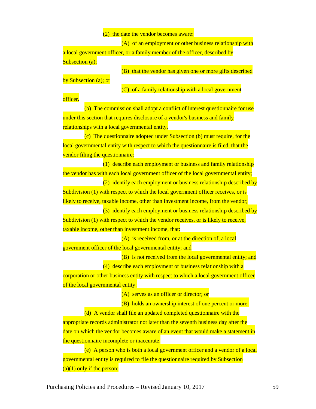$(2)$  the date the vendor becomes aware:

(A) of an employment or other business relationship with a local government officer, or a family member of the officer, described by Subsection (a);

(B) that the vendor has given one or more gifts described

by Subsection (a); or

(C) of a family relationship with a local government

officer.

(b) The commission shall adopt a conflict of interest questionnaire for use under this section that requires disclosure of a vendor's business and family relationships with a local governmental entity.

(c) The questionnaire adopted under Subsection (b) must require, for the local governmental entity with respect to which the questionnaire is filed, that the vendor filing the questionnaire:

(1) describe each employment or business and family relationship the vendor has with each local government officer of the local governmental entity;

(2) identify each employment or business relationship described by Subdivision (1) with respect to which the local government officer receives, or is likely to receive, taxable income, other than investment income, from the vendor;

(3) identify each employment or business relationship described by Subdivision (1) with respect to which the vendor receives, or is likely to receive, taxable income, other than investment income, that:

(A) is received from, or at the direction of, a local government officer of the local governmental entity; and

(B) is not received from the local governmental entity; and

(4) describe each employment or business relationship with a corporation or other business entity with respect to which a local government officer of the local governmental entity:

(A) serves as an officer or director; or

(B) holds an ownership interest of one percent or more.

(d) A vendor shall file an updated completed questionnaire with the appropriate records administrator not later than the seventh business day after the date on which the vendor becomes aware of an event that would make a statement in the questionnaire incomplete or inaccurate.

(e) A person who is both a local government officer and a vendor of a local governmental entity is required to file the questionnaire required by Subsection  $(a)(1)$  only if the person: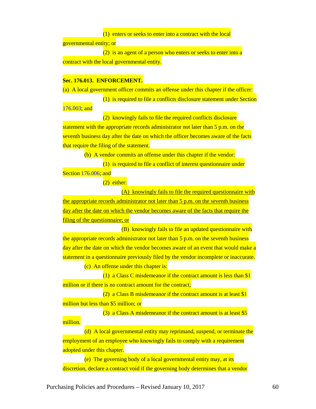(1) enters or seeks to enter into a contract with the local

governmental entity; or

(2) is an agent of a person who enters or seeks to enter into a contract with the local governmental entity.

#### **Sec. 176.013. ENFORCEMENT.**

(a) A local government officer commits an offense under this chapter if the officer:

(1) is required to file a conflicts disclosure statement under Section

[176.003;](http://www.statutes.legis.state.tx.us/GetStatute.aspx?Code=LG&Value=176.003&Date=12/12/2015) and

million.

(2) knowingly fails to file the required conflicts disclosure

statement with the appropriate records administrator not later than 5 p.m. on the seventh business day after the date on which the officer becomes aware of the facts that require the filing of the statement.

(b) A vendor commits an offense under this chapter if the vendor:

(1) is required to file a conflict of interest questionnaire under Section [176.006;](http://www.statutes.legis.state.tx.us/GetStatute.aspx?Code=LG&Value=176.006&Date=12/12/2015) and

 $(2)$  either:

(A) knowingly fails to file the required questionnaire with the appropriate records administrator not later than 5 p.m. on the seventh business day after the date on which the vendor becomes aware of the facts that require the filing of the questionnaire; or

(B) knowingly fails to file an updated questionnaire with the appropriate records administrator not later than 5 p.m. on the seventh business day after the date on which the vendor becomes aware of an event that would make a statement in a questionnaire previously filed by the vendor incomplete or inaccurate.

(c) An offense under this chapter is:

(1) a Class C misdemeanor if the contract amount is less than \$1 million or if there is no contract amount for the contract:

(2) a Class B misdemeanor if the contract amount is at least  $$1$ million but less than \$5 million; or

(3) a Class A misdemeanor if the contract amount is at least \$5

(d) A local governmental entity may reprimand, suspend, or terminate the employment of an employee who knowingly fails to comply with a requirement adopted under this chapter.

(e) The governing body of a local governmental entity may, at its discretion, declare a contract void if the governing body determines that a vendor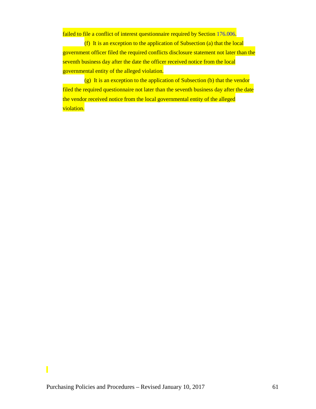failed to file a conflict of interest questionnaire required by Section [176.006.](http://www.statutes.legis.state.tx.us/GetStatute.aspx?Code=LG&Value=176.006&Date=12/12/2015)

(f) It is an exception to the application of Subsection (a) that the local government officer filed the required conflicts disclosure statement not later than the seventh business day after the date the officer received notice from the local governmental entity of the alleged violation.

 $(g)$  It is an exception to the application of Subsection (b) that the vendor filed the required questionnaire not later than the seventh business day after the date the vendor received notice from the local governmental entity of the alleged violation.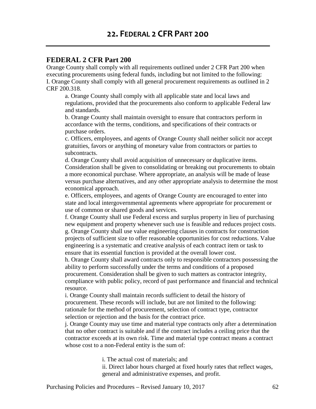### **FEDERAL 2 CFR Part 200**

Orange County shall comply with all requirements outlined under 2 CFR Part 200 when executing procurements using federal funds, including but not limited to the following: I. Orange County shall comply with all general procurement requirements as outlined in 2 CRF 200.318.

a. Orange County shall comply with all applicable state and local laws and regulations, provided that the procurements also conform to applicable Federal law and standards.

b. Orange County shall maintain oversight to ensure that contractors perform in accordance with the terms, conditions, and specifications of their contracts or purchase orders.

c. Officers, employees, and agents of Orange County shall neither solicit nor accept gratuities, favors or anything of monetary value from contractors or parties to subcontracts.

d. Orange County shall avoid acquisition of unnecessary or duplicative items. Consideration shall be given to consolidating or breaking out procurements to obtain a more economical purchase. Where appropriate, an analysis will be made of lease versus purchase alternatives, and any other appropriate analysis to determine the most economical approach.

e. Officers, employees, and agents of Orange County are encouraged to enter into state and local intergovernmental agreements where appropriate for procurement or use of common or shared goods and services.

f. Orange County shall use Federal excess and surplus property in lieu of purchasing new equipment and property whenever such use is feasible and reduces project costs. g. Orange County shall use value engineering clauses in contracts for construction projects of sufficient size to offer reasonable opportunities for cost reductions. Value engineering is a systematic and creative analysis of each contract item or task to ensure that its essential function is provided at the overall lower cost.

h. Orange County shall award contracts only to responsible contractors possessing the ability to perform successfully under the terms and conditions of a proposed procurement. Consideration shall be given to such matters as contractor integrity, compliance with public policy, record of past performance and financial and technical resource.

i. Orange County shall maintain records sufficient to detail the history of procurement. These records will include, but are not limited to the following: rationale for the method of procurement, selection of contract type, contractor selection or rejection and the basis for the contract price.

j. Orange County may use time and material type contracts only after a determination that no other contract is suitable and if the contract includes a ceiling price that the contractor exceeds at its own risk. Time and material type contract means a contract whose cost to a non-Federal entity is the sum of:

i. The actual cost of materials; and

ii. Direct labor hours charged at fixed hourly rates that reflect wages, general and administrative expenses, and profit.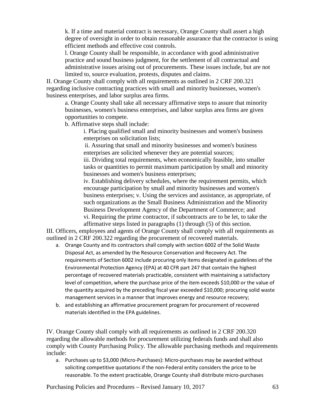k. If a time and material contract is necessary, Orange County shall assert a high degree of oversight in order to obtain reasonable assurance that the contractor is using efficient methods and effective cost controls.

l. Orange County shall be responsible, in accordance with good administrative practice and sound business judgment, for the settlement of all contractual and administrative issues arising out of procurements. These issues include, but are not limited to, source evaluation, protests, disputes and claims.

II. Orange County shall comply with all requirements as outlined in 2 CRF 200.321 regarding inclusive contracting practices with small and minority businesses, women's business enterprises, and labor surplus area firms.

a. Orange County shall take all necessary affirmative steps to assure that minority businesses, women's business enterprises, and labor surplus area firms are given opportunities to compete.

b. Affirmative steps shall include:

i. Placing qualified small and minority businesses and women's business enterprises on solicitation lists;

ii. Assuring that small and minority businesses and women's business enterprises are solicited whenever they are potential sources;

iii. Dividing total requirements, when economically feasible, into smaller tasks or quantities to permit maximum participation by small and minority businesses and women's business enterprises;

iv. Establishing delivery schedules, where the requirement permits, which encourage participation by small and minority businesses and women's business enterprises; v. Using the services and assistance, as appropriate, of such organizations as the Small Business Administration and the Minority Business Development Agency of the Department of Commerce; and vi. Requiring the prime contractor, if subcontracts are to be let, to take the affirmative steps listed in paragraphs (1) through (5) of this section.

III. Officers, employees and agents of Orange County shall comply with all requirements as outlined in 2 CRF 200.322 regarding the procurement of recovered materials.

- a. Orange County and its contractors shall comply with section 6002 of the Solid Waste Disposal Act, as amended by the Resource Conservation and Recovery Act. The requirements of Section 6002 include procuring only items designated in guidelines of the Environmental Protection Agency (EPA) at 40 CFR part 247 that contain the highest percentage of recovered materials practicable, consistent with maintaining a satisfactory level of competition, where the purchase price of the item exceeds \$10,000 or the value of the quantity acquired by the preceding fiscal year exceeded \$10,000; procuring solid waste management services in a manner that improves energy and resource recovery;
- b. and establishing an affirmative procurement program for procurement of recovered materials identified in the EPA guidelines.

IV. Orange County shall comply with all requirements as outlined in 2 CRF 200.320 regarding the allowable methods for procurement utilizing federals funds and shall also comply with County Purchasing Policy. The allowable purchasing methods and requirements include:

a. Purchases up to \$3,000 (Micro-Purchases): Micro-purchases may be awarded without soliciting competitive quotations if the non-Federal entity considers the price to be reasonable. To the extent practicable, Orange County shall distribute micro-purchases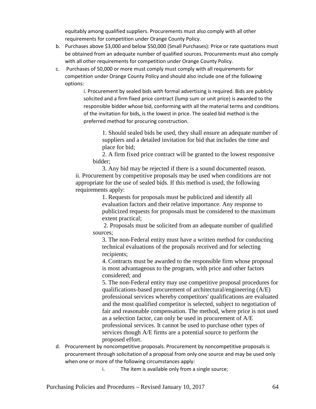equitably among qualified suppliers. Procurements must also comply with all other requirements for competition under Orange County Policy.

- b. Purchases above \$3,000 and below \$50,000 (Small Purchases): Price or rate quotations must be obtained from an adequate number of qualified sources. Procurements must also comply with all other requirements for competition under Orange County Policy.
- c. Purchases of 50,000 or more must comply must comply with all requirements for competition under Orange County Policy and should also include one of the following options:

i. Procurement by sealed bids with formal advertising is required. Bids are publicly solicited and a firm fixed price contract (lump sum or unit price) is awarded to the responsible bidder whose bid, conforming with all the material terms and conditions of the invitation for bids, is the lowest in price. The sealed bid method is the preferred method for procuring construction.

1. Should sealed bids be used, they shall ensure an adequate number of suppliers and a detailed invitation for bid that includes the time and place for bid;

2. A firm fixed price contract will be granted to the lowest responsive bidder;

3. Any bid may be rejected if there is a sound documented reason. ii. Procurement by competitive proposals may be used when conditions are not appropriate for the use of sealed bids. If this method is used, the following requirements apply:

1. Requests for proposals must be publicized and identify all evaluation factors and their relative importance. Any response to publicized requests for proposals must be considered to the maximum extent practical;

2. Proposals must be solicited from an adequate number of qualified sources;

3. The non-Federal entity must have a written method for conducting technical evaluations of the proposals received and for selecting recipients;

4. Contracts must be awarded to the responsible firm whose proposal is most advantageous to the program, with price and other factors considered; and

5. The non-Federal entity may use competitive proposal procedures for qualifications-based procurement of architectural/engineering (A/E) professional services whereby competitors' qualifications are evaluated and the most qualified competitor is selected, subject to negotiation of fair and reasonable compensation. The method, where price is not used as a selection factor, can only be used in procurement of A/E professional services. It cannot be used to purchase other types of services though A/E firms are a potential source to perform the proposed effort.

- d. Procurement by noncompetitive proposals. Procurement by noncompetitive proposals is procurement through solicitation of a proposal from only one source and may be used only when one or more of the following circumstances apply:
	- i. The item is available only from a single source;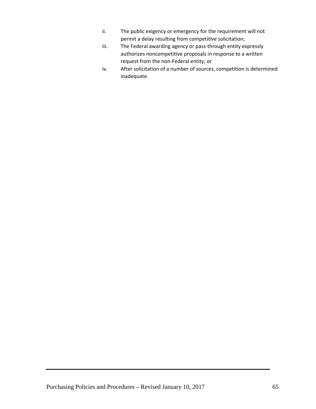- ii. The public exigency or emergency for the requirement will not permit a delay resulting from competitive solicitation;
- iii. The Federal awarding agency or pass-through entity expressly authorizes noncompetitive proposals in response to a written request from the non-Federal entity; or
- iv. After solicitation of a number of sources, competition is determined inadequate.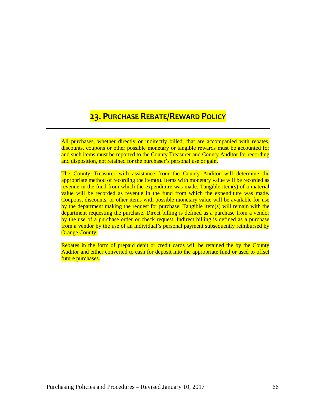## **23. PURCHASE REBATE/REWARD POLICY**

All purchases, whether directly or indirectly billed, that are accompanied with rebates, discounts, coupons or other possible monetary or tangible rewards must be accounted for and such items must be reported to the County Treasurer and County Auditor for recording and disposition, not retained for the purchaser's personal use or gain.

The County Treasurer with assistance from the County Auditor will determine the appropriate method of recording the item(s). Items with monetary value will be recorded as revenue in the fund from which the expenditure was made. Tangible item(s) of a material value will be recorded as revenue in the fund from which the expenditure was made. Coupons, discounts, or other items with possible monetary value will be available for use by the department making the request for purchase. Tangible item(s) will remain with the department requesting the purchase. Direct billing is defined as a purchase from a vendor by the use of a purchase order or check request. Indirect billing is defined as a purchase from a vendor by the use of an individual's personal payment subsequently reimbursed by **Orange County.** 

Rebates in the form of prepaid debit or credit cards will be retained the by the County Auditor and either converted to cash for deposit into the appropriate fund or used to offset future purchases.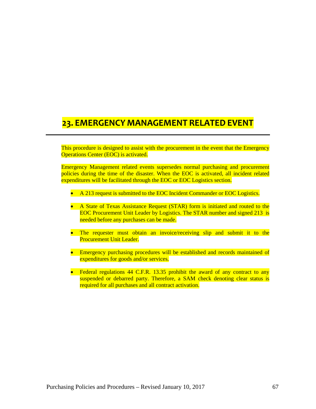# **23. EMERGENCY MANAGEMENT RELATED EVENT**

This procedure is designed to assist with the procurement in the event that the Emergency Operations Center (EOC) is activated.

Emergency Management related events supersedes normal purchasing and procurement policies during the time of the disaster. When the EOC is activated, all incident related expenditures will be facilitated through the EOC or EOC Logistics section.

- A 213 request is submitted to the EOC Incident Commander or EOC Logistics.
- A State of Texas Assistance Request (STAR) form is initiated and routed to the EOC Procurement Unit Leader by Logistics. The STAR number and signed 213 is needed before any purchases can be made.
- The requester must obtain an invoice/receiving slip and submit it to the Procurement Unit Leader.
- Emergency purchasing procedures will be established and records maintained of expenditures for goods and/or services.
- Federal regulations 44 C.F.R. 13.35 prohibit the award of any contract to any suspended or debarred party. Therefore, a SAM check denoting clear status is required for all purchases and all contract activation.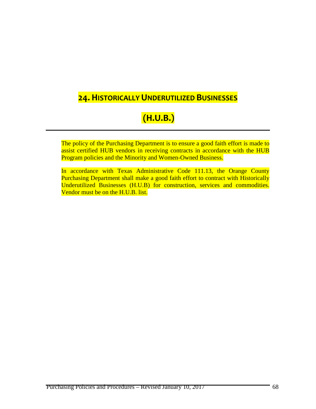### **24. HISTORICALLY UNDERUTILIZED BUSINESSES**

# **(H.U.B.)**

The policy of the Purchasing Department is to ensure a good faith effort is made to assist certified HUB vendors in receiving contracts in accordance with the HUB Program policies and the Minority and Women-Owned Business.

In accordance with Texas Administrative Code 111.13, the Orange County Purchasing Department shall make a good faith effort to contract with Historically Underutilized Businesses (H.U.B) for construction, services and commodities. Vendor must be on the H.U.B. list.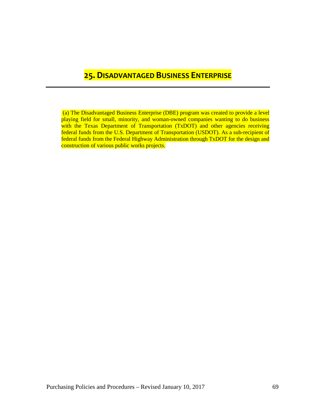### **25. DISADVANTAGED BUSINESS ENTERPRISE**

(a) The Disadvantaged Business Enterprise (DBE) program was created to provide a level playing field for small, minority, and woman-owned companies wanting to do business with the Texas Department of Transportation (TxDOT) and other agencies receiving federal funds from the U.S. Department of Transportation (USDOT). As a sub-recipient of federal funds from the Federal Highway Administration through TxDOT for the design and construction of various public works projects.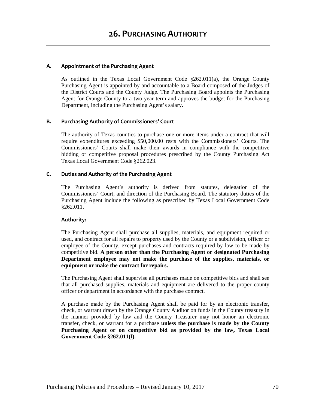#### **A. Appointment of the Purchasing Agent**

As outlined in the Texas Local Government Code  $\S262.011(a)$ , the Orange County Purchasing Agent is appointed by and accountable to a Board composed of the Judges of the District Courts and the County Judge. The Purchasing Board appoints the Purchasing Agent for Orange County to a two-year term and approves the budget for the Purchasing Department, including the Purchasing Agent's salary.

#### **B. Purchasing Authority of Commissioners' Court**

The authority of Texas counties to purchase one or more items under a contract that will require expenditures exceeding \$50,000.00 rests with the Commissioners' Courts. The Commissioners' Courts shall make their awards in compliance with the competitive bidding or competitive proposal procedures prescribed by the County Purchasing Act Texas Local Government Code §262.023.

#### **C. Duties and Authority of the Purchasing Agent**

The Purchasing Agent's authority is derived from statutes, delegation of the Commissioners' Court, and direction of the Purchasing Board. The statutory duties of the Purchasing Agent include the following as prescribed by Texas Local Government Code §262.011.

#### **Authority:**

The Purchasing Agent shall purchase all supplies, materials, and equipment required or used, and contract for all repairs to property used by the County or a subdivision, officer or employee of the County, except purchases and contracts required by law to be made by competitive bid. **A person other than the Purchasing Agent or designated Purchasing Department employee may not make the purchase of the supplies, materials, or equipment or make the contract for repairs.**

The Purchasing Agent shall supervise all purchases made on competitive bids and shall see that all purchased supplies, materials and equipment are delivered to the proper county officer or department in accordance with the purchase contract.

A purchase made by the Purchasing Agent shall be paid for by an electronic transfer, check, or warrant drawn by the Orange County Auditor on funds in the County treasury in the manner provided by law and the County Treasurer may not honor an electronic transfer, check, or warrant for a purchase **unless the purchase is made by the County Purchasing Agent or on competitive bid as provided by the law, Texas Local Government Code §262.011(f).**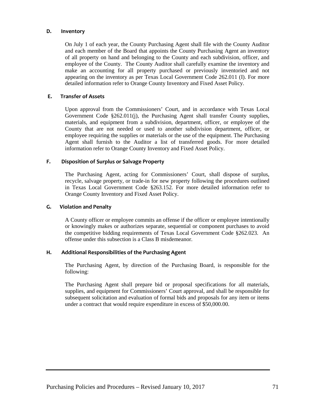#### **D.****Inventory**

On July 1 of each year, the County Purchasing Agent shall file with the County Auditor and each member of the Board that appoints the County Purchasing Agent an inventory of all property on hand and belonging to the County and each subdivision, officer, and employee of the County. The County Auditor shall carefully examine the inventory and make an accounting for all property purchased or previously inventoried and not appearing on the inventory as per Texas Local Government Code 262.011 (I). For more detailed information refer to Orange County Inventory and Fixed Asset Policy.

#### **E.****Transfer of Assets**

Upon approval from the Commissioners' Court, and in accordance with Texas Local Government Code §262.011(j), the Purchasing Agent shall transfer County supplies, materials, and equipment from a subdivision, department, officer, or employee of the County that are not needed or used to another subdivision department, officer, or employee requiring the supplies or materials or the use of the equipment. The Purchasing Agent shall furnish to the Auditor a list of transferred goods. For more detailed information refer to Orange County Inventory and Fixed Asset Policy.

#### **F.****Disposition of Surplus or Salvage Property**

The Purchasing Agent, acting for Commissioners' Court, shall dispose of surplus, recycle, salvage property, or trade-in for new property following the procedures outlined in Texas Local Government Code §263.152. For more detailed information refer to Orange County Inventory and Fixed Asset Policy.

#### **G.****Violation and Penalty**

A County officer or employee commits an offense if the officer or employee intentionally or knowingly makes or authorizes separate, sequential or component purchases to avoid the competitive bidding requirements of Texas Local Government Code §262.023. An offense under this subsection is a Class B misdemeanor.

#### **H. Additional Responsibilities of the Purchasing Agent**

The Purchasing Agent, by direction of the Purchasing Board, is responsible for the following:

The Purchasing Agent shall prepare bid or proposal specifications for all materials, supplies, and equipment for Commissioners' Court approval, and shall be responsible for subsequent solicitation and evaluation of formal bids and proposals for any item or items under a contract that would require expenditure in excess of \$50,000.00.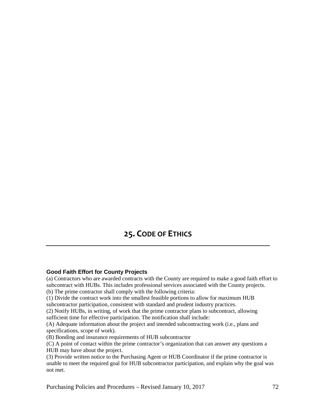### **25. CODE OF ETHICS**

#### **Good Faith Effort for County Projects**

(a) Contractors who are awarded contracts with the County are required to make a good faith effort to subcontract with HUBs. This includes professional services associated with the County projects. (b) The prime contractor shall comply with the following criteria:

(1) Divide the contract work into the smallest feasible portions to allow for maximum HUB

subcontractor participation, consistent with standard and prudent industry practices.

(2) Notify HUBs, in writing, of work that the prime contractor plans to subcontract, allowing sufficient time for effective participation. The notification shall include:

(A) Adequate information about the project and intended subcontracting work (i.e., plans and specifications, scope of work).

(B) Bonding and insurance requirements of HUB subcontractor

(C) A point of contact within the prime contractor's organization that can answer any questions a HUB may have about the project.

(3) Provide written notice to the Purchasing Agent or HUB Coordinator if the prime contractor is unable to meet the required goal for HUB subcontractor participation, and explain why the goal was not met.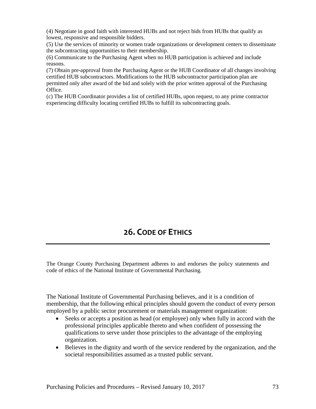(4) Negotiate in good faith with interested HUBs and not reject bids from HUBs that qualify as lowest, responsive and responsible bidders.

(5) Use the services of minority or women trade organizations or development centers to disseminate the subcontracting opportunities to their membership.

(6) Communicate to the Purchasing Agent when no HUB participation is achieved and include reasons.

(7) Obtain pre-approval from the Purchasing Agent or the HUB Coordinator of all changes involving certified HUB subcontractors. Modifications to the HUB subcontractor participation plan are permitted only after award of the bid and solely with the prior written approval of the Purchasing Office.

(c) The HUB Coordinator provides a list of certified HUBs, upon request, to any prime contractor experiencing difficulty locating certified HUBs to fulfill its subcontracting goals.

## **26. CODE OF ETHICS**

The Orange County Purchasing Department adheres to and endorses the policy statements and code of ethics of the National Institute of Governmental Purchasing.

The National Institute of Governmental Purchasing believes, and it is a condition of membership, that the following ethical principles should govern the conduct of every person employed by a public sector procurement or materials management organization:

- Seeks or accepts a position as head (or employee) only when fully in accord with the professional principles applicable thereto and when confident of possessing the qualifications to serve under those principles to the advantage of the employing organization.
- Believes in the dignity and worth of the service rendered by the organization, and the societal responsibilities assumed as a trusted public servant.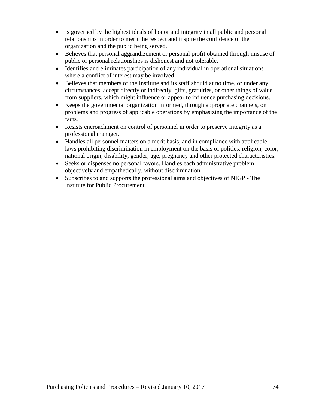- Is governed by the highest ideals of honor and integrity in all public and personal relationships in order to merit the respect and inspire the confidence of the organization and the public being served.
- Believes that personal aggrandizement or personal profit obtained through misuse of public or personal relationships is dishonest and not tolerable.
- Identifies and eliminates participation of any individual in operational situations where a conflict of interest may be involved.
- Believes that members of the Institute and its staff should at no time, or under any circumstances, accept directly or indirectly, gifts, gratuities, or other things of value from suppliers, which might influence or appear to influence purchasing decisions.
- Keeps the governmental organization informed, through appropriate channels, on problems and progress of applicable operations by emphasizing the importance of the facts.
- Resists encroachment on control of personnel in order to preserve integrity as a professional manager.
- Handles all personnel matters on a merit basis, and in compliance with applicable laws prohibiting discrimination in employment on the basis of politics, religion, color, national origin, disability, gender, age, pregnancy and other protected characteristics.
- Seeks or dispenses no personal favors. Handles each administrative problem objectively and empathetically, without discrimination.
- Subscribes to and supports the professional aims and objectives of NIGP The Institute for Public Procurement.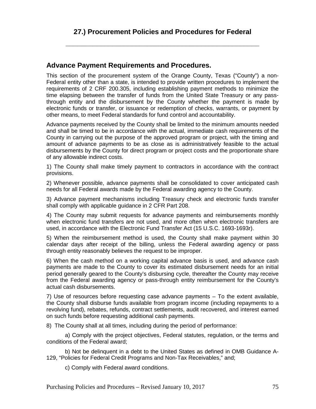**\_\_\_\_\_\_\_\_\_\_\_\_\_\_\_\_\_\_\_\_\_\_\_\_\_\_\_\_\_\_\_\_\_\_\_\_\_\_\_\_\_\_\_\_\_\_\_\_\_\_**

## **Advance Payment Requirements and Procedures.**

This section of the procurement system of the Orange County, Texas ("County") a non-Federal entity other than a state, is intended to provide written procedures to implement the requirements of 2 CRF 200.305, including establishing payment methods to minimize the time elapsing between the transfer of funds from the United State Treasury or any passthrough entity and the disbursement by the County whether the payment is made by electronic funds or transfer, or issuance or redemption of checks, warrants, or payment by other means, to meet Federal standards for fund control and accountability.

Advance payments received by the County shall be limited to the minimum amounts needed and shall be timed to be in accordance with the actual, immediate cash requirements of the County in carrying out the purpose of the approved program or project, with the timing and amount of advance payments to be as close as is administratively feasible to the actual disbursements by the County for direct program or project costs and the proportionate share of any allowable indirect costs.

1) The County shall make timely payment to contractors in accordance with the contract provisions.

2) Whenever possible, advance payments shall be consolidated to cover anticipated cash needs for all Federal awards made by the Federal awarding agency to the County.

3) Advance payment mechanisms including Treasury check and electronic funds transfer shall comply with applicable guidance in 2 CFR Part 208.

4) The County may submit requests for advance payments and reimbursements monthly when electronic fund transfers are not used, and more often when electronic transfers are used, in accordance with the Electronic Fund Transfer Act (15 U.S.C. 1693-1693r).

5) When the reimbursement method is used, the County shall make payment within 30 calendar days after receipt of the billing, unless the Federal awarding agency or pass through entity reasonably believes the request to be improper.

6) When the cash method on a working capital advance basis is used, and advance cash payments are made to the County to cover its estimated disbursement needs for an initial period generally geared to the County's disbursing cycle, thereafter the County may receive from the Federal awarding agency or pass-through entity reimbursement for the County's actual cash disbursements.

7) Use of resources before requesting case advance payments – To the extent available, the County shall disburse funds available from program income (including repayments to a revolving fund), rebates, refunds, contract settlements, audit recovered, and interest earned on such funds before requesting additional cash payments.

8) The County shall at all times, including during the period of performance:

a) Comply with the project objectives, Federal statutes, regulation, or the terms and conditions of the Federal award;

b) Not be delinquent in a debt to the United States as defined in OMB Guidance A-129, "Policies for Federal Credit Programs and Non-Tax Receivables," and;

c) Comply with Federal award conditions.